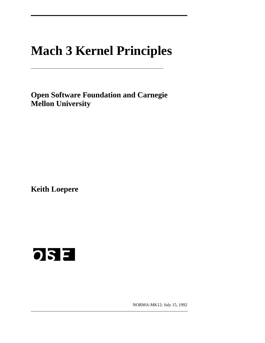# **Mach 3 Kernel Principles**

**Open Software Foundation and Carnegie Mellon University**

**Keith Loepere**



NORMA-MK12: July 15, 1992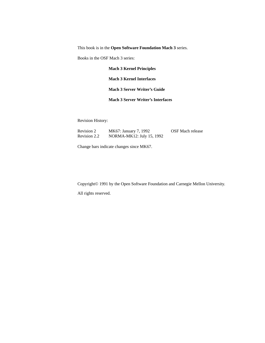This book is in the **Open Software Foundation Mach 3** series.

Books in the OSF Mach 3 series:

**Mach 3 Kernel Principles**

**Mach 3 Kernel Interfaces**

**Mach 3 Server Writer's Guide**

**Mach 3 Server Writer's Interfaces**

Revision History:

| Revision 2   | MK67: January 7, 1992     | OSF Mach release |
|--------------|---------------------------|------------------|
| Revision 2.2 | NORMA-MK12: July 15, 1992 |                  |

Change bars indicate changes since MK67.

Copyright© 1991 by the Open Software Foundation and Carnegie Mellon University.

All rights reserved.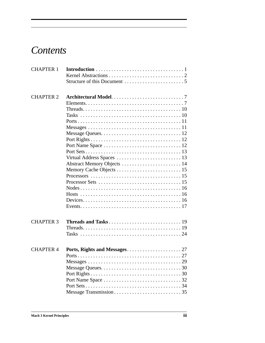# *Contents*

| <b>CHAPTER 1</b> |                                                                                                   |
|------------------|---------------------------------------------------------------------------------------------------|
|                  |                                                                                                   |
| <b>CHAPTER 2</b> |                                                                                                   |
|                  |                                                                                                   |
|                  |                                                                                                   |
|                  |                                                                                                   |
|                  |                                                                                                   |
|                  | Messages $\ldots \ldots \ldots \ldots \ldots \ldots \ldots \ldots \ldots \ldots \ldots 11$        |
|                  |                                                                                                   |
|                  |                                                                                                   |
|                  |                                                                                                   |
|                  |                                                                                                   |
|                  |                                                                                                   |
|                  |                                                                                                   |
|                  |                                                                                                   |
|                  |                                                                                                   |
|                  | Processor Sets $\dots \dots \dots \dots \dots \dots \dots \dots \dots \dots \dots \dots \dots 15$ |
|                  |                                                                                                   |
|                  |                                                                                                   |
|                  |                                                                                                   |
|                  |                                                                                                   |
| <b>CHAPTER 3</b> |                                                                                                   |
|                  |                                                                                                   |
|                  |                                                                                                   |
| <b>CHAPTER 4</b> |                                                                                                   |
|                  |                                                                                                   |
|                  |                                                                                                   |
|                  |                                                                                                   |
|                  |                                                                                                   |
|                  |                                                                                                   |
|                  |                                                                                                   |
|                  |                                                                                                   |
|                  |                                                                                                   |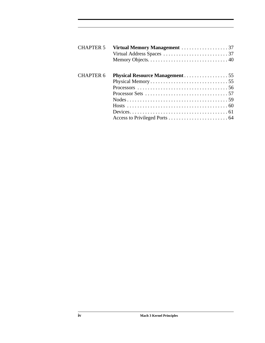| <b>CHAPTER 5</b> | Virtual Memory Management 37 |
|------------------|------------------------------|
| <b>CHAPTER 6</b> |                              |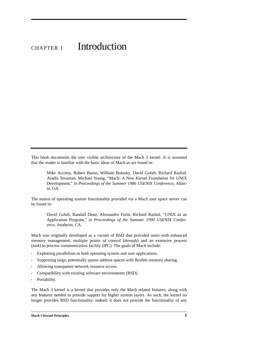## CHAPTER 1 Introduction

This book documents the user visible architecture of the Mach 3 kernel. It is assumed that the reader is familiar with the basic ideas of Mach as are found in:

Mike Accetta, Robert Baron, William Bolosky, David Golub, Richard Rashid, Avadis Tevanian, Michael Young, "Mach: A New Kernel Foundation for UNIX Development," in *Proceedings of the Summer 1986 USENIX Conference*, Atlanta, GA.

The notion of operating system functionality provided via a Mach user space server can be found in:

David Golub, Randall Dean, Alessandro Forin, Richard Rashid, "UNIX as an Application Program," in *Proceedings of the Summer 1990 USENIX Conference*, Anaheim, CA.

Mach was originally developed as a variant of BSD that provided users with enhanced memory management, multiple points of control (*threads*) and an extensive process (*task*) to process communication facility (IPC). The goals of Mach include:

- Exploiting parallelism in both operating system and user applications.
- Supporting large, potentially sparse address spaces with flexible memory sharing.
- Allowing transparent network resource access.
- Compatibility with existing software environments (BSD).
- Portability.

The Mach 3 kernel is a kernel that provides only the Mach related features, along with any features needed to provide support for higher system layers. As such, the kernel no longer provides BSD functionality; indeed, it does not provide the functionality of any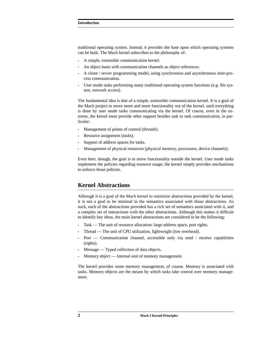traditional operating system. Instead, it provides the base upon which operating systems can be built. The Mach kernel subscribes to the philosophy of:

- A simple, extensible communication kernel.
- An object basis with communication channels as object references.
- A client / server programming model, using synchronous and asynchronous inter-process communication.
- User mode tasks performing many traditional operating system functions (e.g. file system, network access).

The fundamental idea is that of a simple, extensible communication kernel. It is a goal of the Mach project to move more and more functionality out of the kernel, until everything is done by user mode tasks communicating via the kernel. Of course, even in the extreme, the kernel must provide other support besides task to task communication, in particular:

- Management of points of control (*threads*).
- Resource assignment (*tasks*).
- Support of address spaces for tasks.
- Management of physical resources (physical memory, processors, device channels).

Even here, though, the goal is to move functionality outside the kernel. User mode tasks implement the policies regarding resource usage; the kernel simply provides mechanisms to enforce those policies.

## **Kernel Abstractions**

Although it is a goal of the Mach kernel to minimize abstractions provided by the kernel, it is not a goal to be minimal in the semantics associated with those abstractions. As such, each of the abstractions provided has a rich set of semantics associated with it, and a complex set of interactions with the other abstractions. Although this makes it difficult to identify key ideas, the main kernel abstractions are considered to be the following:

- Task The unit of resource allocation: large address space, port rights.
- Thread The unit of CPU utilization, lightweight (low overhead).
- Port Communication channel, accessible only via send / receive capabilities (rights).
- Message Typed collection of data objects.
- Memory object Internal unit of memory management.

The kernel provides some memory management, of course. Memory is associated with tasks. Memory objects are the means by which tasks take control over memory management.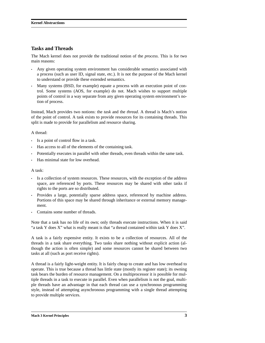#### **Tasks and Threads**

The Mach kernel does not provide the traditional notion of the *process*. This is for two main reasons:

- Any given operating system environment has considerable semantics associated with a process (such as user ID, signal state, etc.). It is not the purpose of the Mach kernel to understand or provide these extended semantics.
- Many systems (BSD, for example) equate a process with an execution point of control. Some systems (AOS, for example) do not. Mach wishes to support multiple points of control in a way separate from any given operating system environment's notion of process.

Instead, Mach provides two notions: the *task* and the *thread*. A thread is Mach's notion of the point of control. A task exists to provide resources for its containing threads. This split is made to provide for parallelism and resource sharing.

A thread:

- Is a point of control flow in a task.
- Has access to all of the elements of the containing task.
- Potentially executes in parallel with other threads, even threads within the same task.
- Has minimal state for low overhead.

A task:

- Is a collection of system resources. These resources, with the exception of the address space, are referenced by ports. These resources may be shared with other tasks if rights to the ports are so distributed.
- Provides a large, potentially sparse address space, referenced by machine address. Portions of this space may be shared through inheritance or external memory management.
- Contains some number of threads.

Note that a task has no life of its own; only threads execute instructions. When it is said "a task Y does X" what is really meant is that "a thread contained within task Y does X".

A task is a fairly expensive entity. It exists to be a collection of resources. All of the threads in a task share everything. Two tasks share nothing without explicit action (although the action is often simple) and some resources cannot be shared between two tasks at all (such as port receive rights).

A thread is a fairly light-weight entity. It is fairly cheap to create and has low overhead to operate. This is true because a thread has little state (mostly its register state); its owning task bears the burden of resource management. On a multiprocessor it is possible for multiple threads in a task to execute in parallel. Even when parallelism is not the goal, multiple threads have an advantage in that each thread can use a synchronous programming style, instead of attempting asynchronous programming with a single thread attempting to provide multiple services.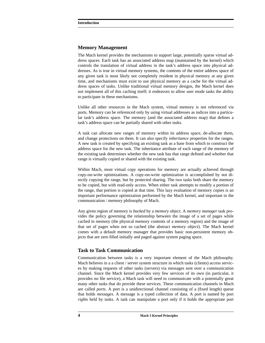#### **Memory Management**

The Mach kernel provides the mechanisms to support large, potentially sparse virtual address spaces. Each task has an associated address map (maintained by the kernel) which controls the translation of virtual address in the task's address space into physical addresses. As is true in virtual memory systems, the contents of the entire address space of any given task is most likely not completely resident in physical memory at any given time, and mechanisms must exist to use physical memory as a cache for the virtual address spaces of tasks. Unlike traditional virtual memory designs, the Mach kernel does not implement all of this caching itself; it endeavors to allow user mode tasks the ability to participate in these mechanisms.

Unlike all other resources in the Mach system, virtual memory is not referenced via ports. Memory can be referenced only by using virtual addresses as indices into a particular task's address space. The memory (and the associated address map) that defines a task's address space can be partially shared with other tasks.

A task can allocate new ranges of memory within its address space, de-allocate them, and change protections on them. It can also specify *inheritance* properties for the ranges. A new task is created by specifying an existing task as a base from which to construct the address space for the new task. The inheritance attribute of each range of the memory of the existing task determines whether the new task has that range defined and whether that range is virtually copied or shared with the existing task.

Within Mach, most virtual copy operations for memory are actually achieved through copy-on-write optimizations. A copy-on-write optimization is accomplished by not directly copying the range, but by protected sharing. The two tasks both share the memory to be copied, but with read-only access. When either task attempts to modify a portion of the range, that portion is copied at that time. This lazy evaluation of memory copies is an important performance optimization performed by the Mach kernel, and important to the communication / memory philosophy of Mach.

Any given region of memory is *backed* by a *memory object*. A *memory manager* task provides the policy governing the relationship between the image of a set of pages while cached in memory (the physical memory contents of a memory region) and the image of that set of pages when not so cached (the abstract *memory object*). The Mach kernel comes with a default memory manager that provides basic non-persistent memory objects that are zero filled initially and paged against system paging space.

#### **Task to Task Communication**

Communication between tasks is a very important element of the Mach philosophy. Mach believes in a a client / server system structure in which tasks (clients) access services by making requests of other tasks (servers) via messages sent over a communication channel. Since the Mach kernel provides very few services of its own (in particular, it provides no file service), a Mach task will need to communicate with a potentially great many other tasks that do provide these services. These communication channels in Mach are called *ports*. A port is a unidirectional channel consisting of a (fixed length) queue that holds *messages*. A message is a typed collection of data. A port is named by port *right*s held by tasks. A task can manipulate a port only if it holds the appropriate port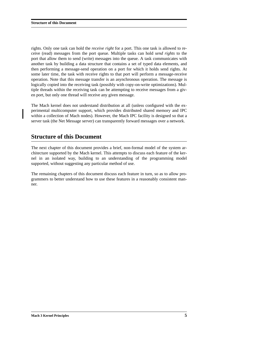rights. Only one task can hold the *receive right* for a port. This one task is allowed to receive (read) messages from the port queue. Multiple tasks can hold *send rights* to the port that allow them to send (write) messages into the queue. A task communicates with another task by building a data structure that contains a set of typed data elements, and then performing a message-send operation on a port for which it holds send rights. At some later time, the task with receive rights to that port will perform a message-receive operation. Note that this message transfer is an asynchronous operation. The message is logically copied into the receiving task (possibly with copy-on-write optimizations). Multiple threads within the receiving task can be attempting to receive messages from a given port, but only one thread will receive any given message.

The Mach kernel does not understand distribution at all (unless configured with the experimental multicomputer support, which provides distributed shared memory and IPC within a collection of Mach nodes). However, the Mach IPC facility is designed so that a server task (the Net Message server) can transparently forward messages over a network.

## **Structure of this Document**

The next chapter of this document provides a brief, non-formal model of the system architecture supported by the Mach kernel. This attempts to discuss each feature of the kernel in an isolated way, building to an understanding of the programming model supported, without suggesting any particular method of use.

The remaining chapters of this document discuss each feature in turn, so as to allow programmers to better understand how to use these features in a reasonably consistent manner.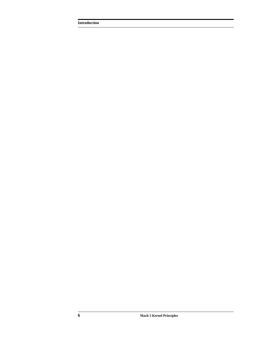**Introduction**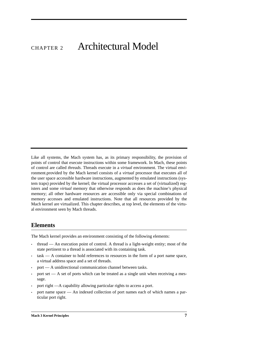## CHAPTER 2 Architectural Model

Like all systems, the Mach system has, as its primary responsibility, the provision of points of control that execute instructions within some framework. In Mach, these points of control are called *threads*. Threads execute in a *virtual* environment. The virtual environment.provided by the Mach kernel consists of a *virtual* processor that executes all of the user space accessible hardware instructions, augmented by emulated instructions (system traps) provided by the kernel; the virtual processor accesses a set of (virtualized) registers and some *virtual* memory that otherwise responds as does the machine's physical memory; all other hardware resources are accessible only via special combinations of memory accesses and emulated instructions. Note that all resources provided by the Mach kernel are virtualized. This chapter describes, at top level, the elements of the virtual environment seen by Mach threads.

## **Elements**

The Mach kernel provides an environment consisting of the following elements:

- thread An execution point of control. A thread is a light-weight entity; most of the state pertinent to a thread is associated with its containing task.
- task A container to hold references to resources in the form of a port name space, a virtual address space and a set of threads.
- port A unidirectional communication channel between tasks.
- port set  $A$  set of ports which can be treated as a single unit when receiving a message.
- port right —A capability allowing particular rights to access a port.
- port name space An indexed collection of port names each of which names a particular port right.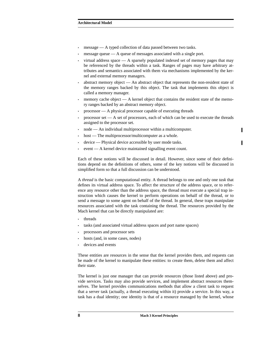- message A typed collection of data passed between two tasks.
- message queue  $A$  queue of messages associated with a single port.
- virtual address space A sparsely populated indexed set of memory pages that may be referenced by the threads within a task. Ranges of pages may have arbitrary attributes and semantics associated with them via mechanisms implemented by the kernel and external memory managers.
- abstract memory object An abstract object that represents the non-resident state of the memory ranges backed by this object. The task that implements this object is called a memory manager.
- memory cache object A kernel object that contains the resident state of the memory ranges backed by an abstract memory object.
- processor A physical processor capable of executing threads
- processor set  $A$  set of processors, each of which can be used to execute the threads assigned to the processor set.

П

 $\mathbf I$ 

- node An individual multiprocessor within a multicomputer.
- host The multiprocessor/multicomputer as a whole.
- device Physical device accessible by user mode tasks.
- event A kernel device maintained signalling event count.

Each of these notions will be discussed in detail. However, since some of their definitions depend on the definitions of others, some of the key notions will be discussed in simplified form so that a full discussion can be understood.

A *thread* is the basic computational entity. A thread belongs to one and only one *task* that defines its virtual address space. To affect the structure of the address space, or to reference any resource other than the address space, the thread must execute a special trap instruction which causes the kernel to perform operations on behalf of the thread, or to send a message to some agent on behalf of the thread. In general, these traps manipulate resources associated with the task containing the thread. The resources provided by the Mach kernel that can be directly manipulated are:

- threads
- tasks (and associated virtual address spaces and port name spaces)
- processors and processor sets
- hosts (and, in some cases, nodes)
- devices and events

These entities are resources in the sense that the kernel provides them, and requests can be made of the kernel to manipulate these entities: to create them, delete them and affect their state.

The kernel is just one manager that can provide resources (those listed above) and provide services. Tasks may also provide services, and implement abstract resources themselves. The kernel provides communications methods that allow a client task to request that a server task (actually, a thread executing within it) provide a service. In this way, a task has a dual identity; one identity is that of a resource managed by the kernel, whose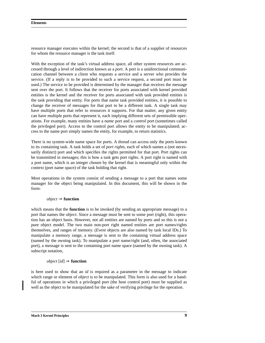#### **Elements**

resource manager executes within the kernel; the second is that of a supplier of resources for whom the resource manager is the task itself.

With the exception of the task's virtual address space, all other system resources are accessed through a level of indirection known as a *port*. A port is a unidirectional communication channel between a client who requests a service and a server who provides the service. (If a reply is to be provided to such a service request, a second port must be used.) The service to be provided is determined by the manager that receives the message sent over the port. It follows that the receiver for ports associated with kernel provided entities is the kernel and the receiver for ports associated with task provided entities is the task providing that entity. For ports that name task provided entities, it is possible to change the receiver of messages for that port to be a different task. A single task may have multiple ports that refer to resources it supports. For that matter, any given entity can have multiple ports that represent it, each implying different sets of permissible operations. For example, many entities have a *name* port and a *control* port (sometimes called the privileged port). Access to the control port allows the entity to be manipulated; access to the name port simply names the entity, for example, to return statistics.

There is no system-wide name space for ports. A thread can access only the ports known to its containing task. A task holds a set of *port rights*, each of which names a (not necessarily distinct) port and which specifies the rights permitted for that port. Port rights can be transmitted in messages; this is how a task gets port rights. A port right is named with a port name, which is an integer chosen by the kernel that is meaningful only within the context (port name space) of the task holding that right.

Most operations in the system consist of sending a message to a port that names some manager for the object being manipulated. In this document, this will be shown in the form:

#### *object* → **function**

which means that the **function** is to be invoked (by sending an appropriate message) to a port that names the *object*. Since a message must be sent to some port (right), this operation has an object basis. However, not all entities are named by ports and so this is not a pure object model. The two main non-port right named entities are port names/rights themselves, and ranges of memory. (*Event* objects are also named by task local IDs.) To manipulate a memory range, a message is sent to the containing virtual address space (named by the owning task). To manipulate a port name/right (and, often, the associated port), a message is sent to the containing port name space (named by the owning task). A subscript notation,

#### $object$  [ $id$ ]  $\rightarrow$  **function**

is here used to show that an *id* is required as a parameter in the message to indicate which range or element of *object* is to be manipulated. This form is also used for a handful of operations in which a privileged port (the host control port) must be supplied as well as the object to be manipulated for the sake of verifying privilege for the operation.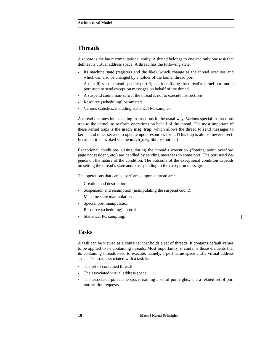## **Threads**

A *thread* is the basic computational entity. A thread belongs to one and only one *task* that defines its virtual address space. A thread has the following state:

- Its machine state (registers and the like), which change as the thread executes and which can also be changed by a holder of the kernel thread port.
- A (small) set of thread specific port rights, identifying the thread's kernel port and a port used to send exception messages on behalf of the thread.
- A suspend count, non-zero if the thread is not to execute instructions.
- Resource (scheduling) parameters.
- Various statistics, including statistical PC samples.

A thread operates by executing instructions in the usual way. Various special instructions trap to the kernel, to perform operations on behalf of the thread. The most important of these kernel traps is the **mach\_msg\_trap**, which allows the thread to send messages to kernel and other servers to operate upon resources for it. (This trap is almost never directly called; it is invoked via the **mach\_msg** library routine.)

Exceptional conditions arising during the thread's execution (floating point overflow, page not resident, etc.) are handled by sending messages to some port. The port used depends on the nature of the condition. The outcome of the exceptional condition depends on setting the thread's state and/or responding to the exception message.

The operations that can be performed upon a thread are:

- Creation and destruction.
- Suspension and resumption (manipulating the suspend count).
- Machine state manipulation.
- Special port manipulation.
- Resource (scheduling) control.
- Statistical PC sampling.

## **Tasks**

A task can be viewed as a container that holds a set of threads. It contains default values to be applied to its containing threads. Most importantly, it contains those elements that its containing threads need to execute, namely, a port name space and a virtual address space. The state associated with a task is:

 $\blacksquare$ 

- The set of contained threads.
- The associated virtual address space.
- The associated port name space, naming a set of port rights, and a related set of port notification requests.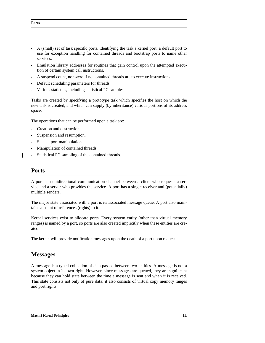- A (small) set of task specific ports, identifying the task's kernel port, a default port to use for exception handling for contained threads and bootstrap ports to name other services.
- Emulation library addresses for routines that gain control upon the attempted execution of certain system call instructions.
- A suspend count, non-zero if no contained threads are to execute instructions.
- Default scheduling parameters for threads.
- Various statistics, including statistical PC samples.

Tasks are created by specifying a prototype task which specifies the host on which the new task is created, and which can supply (by inheritance) various portions of its address space.

The operations that can be performed upon a task are:

- Creation and destruction.
- Suspension and resumption.
- Special port manipulation.
- Manipulation of contained threads.
- Statistical PC sampling of the contained threads.

#### **Ports**

A port is a unidirectional communication channel between a client who requests a service and a server who provides the service. A port has a single receiver and (potentially) multiple senders.

The major state associated with a port is its associated message queue. A port also maintains a count of references (rights) to it.

Kernel services exist to allocate ports. Every system entity (other than virtual memory ranges) is named by a port, so ports are also created implicitly when these entities are created.

The kernel will provide notification messages upon the death of a port upon request.

## **Messages**

A message is a typed collection of data passed between two entities. A message is not a system object in its own right. However, since messages are queued, they are significant because they can hold state between the time a message is sent and when it is received. This state consists not only of pure data; it also consists of virtual copy memory ranges and port rights.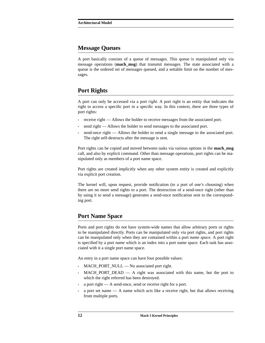## **Message Queues**

A port basically consists of a queue of messages. This queue is manipulated only via message operations (**mach\_msg**) that transmit messages. The state associated with a queue is the ordered set of messages queued, and a settable limit on the number of messages.

## **Port Rights**

A port can only be accessed via a port *right*. A port right is an entity that indicates the right to access a specific port in a specific way. In this context, there are three types of port rights:

- receive right Allows the holder to receive messages from the associated port.
- send right Allows the holder to send messages to the associated port.
- send-once right Allows the holder to send a single message to the associated port. The right self-destructs after the message is sent.

Port rights can be copied and moved between tasks via various options in the **mach\_msg** call, and also by explicit command. Other than message operations, port rights can be manipulated only as members of a port name space.

Port rights are created implicitly when any other system entity is created and explicitly via explicit port creation.

The kernel will, upon request, provide notification (to a port of one's choosing) when there are no more send rights to a port. The destruction of a send-once right (other than by using it to send a message) generates a send-once notification sent to the corresponding port.

## **Port Name Space**

Ports and port rights do not have system-wide names that allow arbitrary ports or rights to be manipulated directly. Ports can be manipulated only via port rights, and port rights can be manipulated only when they are contained within a port *name space*. A port right is specified by a port *name* which is an index into a port name space. Each task has associated with it a single port name space.

An entry in a port name space can have four possible values:

- MACH\_PORT\_NULL No associated port right.
- MACH\_PORT\_DEAD A right was associated with this name, but the port to which the right referred has been destroyed.
- a port right A send-once, send or receive right for a port.
- a port set name A name which acts like a receive right, but that allows receiving from multiple ports.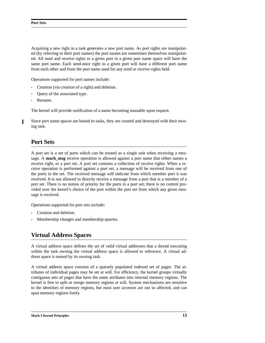Acquiring a new right in a task generates a new port name. As port rights are manipulated (by referring to their port names) the port names are sometimes themselves manipulated. All send and receive rights to a given port in a given port name space will have the same port name. Each send-once right to a given port will have a different port name from each other and from the port name used for any send or receive rights held.

Operations supported for port names include:

- Creation (via creation of a right) and deletion.
- Query of the associated type.
- Rename.

I

The kernel will provide notification of a name becoming unusable upon request.

Since port name spaces are bound to tasks, they are created and destroyed with their owning task.

## **Port Sets**

A port set is a set of ports which can be treated as a single unit when receiving a message. A **mach\_msg** receive operation is allowed against a port name that either names a receive right, or a port set. A port set contains a collection of receive rights. When a receive operation is performed against a port set, a message will be received from one of the ports in the set. The received message will indicate from which member port it was received. It is not allowed to directly receive a message from a port that is a member of a port set. There is no notion of priority for the ports in a port set; there is no control provided over the kernel's choice of the port within the port set from which any given message is received.

Operations supported for port sets include:

- Creation and deletion.
- Membership changes and membership queries.

## **Virtual Address Spaces**

A virtual address space defines the set of valid virtual addresses that a thread executing within the task owning the virtual address space is allowed to reference. A virtual address space is named by its owning task.

A virtual address space consists of a sparsely populated indexed set of pages. The attributes of individual pages may be set at will. For efficiency, the kernel groups virtually contiguous sets of pages that have the same attributes into internal memory regions. The kernel is free to split or merge memory regions at will. System mechanisms are sensitive to the identities of memory regions, but most user accesses are not so affected, and can span memory regions freely.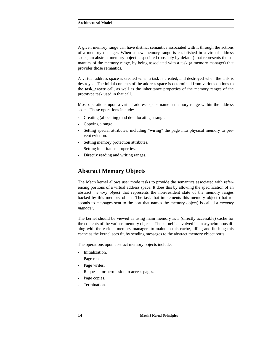A given memory range can have distinct semantics associated with it through the actions of a memory manager. When a new memory range is established in a virtual address space, an abstract memory object is specified (possibly by default) that represents the semantics of the memory range, by being associated with a task (a memory manager) that provides those semantics.

A virtual address space is created when a task is created, and destroyed when the task is destroyed. The initial contents of the address space is determined from various options to the **task\_create** call, as well as the inheritance properties of the memory ranges of the prototype task used in that call.

Most operations upon a virtual address space name a memory range within the address space. These operations include:

- Creating (allocating) and de-allocating a range.
- Copying a range.
- Setting special attributes, including "wiring" the page into physical memory to prevent eviction.
- Setting memory protection attributes.
- Setting inheritance properties.
- Directly reading and writing ranges.

## **Abstract Memory Objects**

The Mach kernel allows user mode tasks to provide the semantics associated with referencing portions of a virtual address space. It does this by allowing the specification of an abstract *memory object* that represents the non-resident state of the memory ranges backed by this memory object. The task that implements this memory object (that responds to messages sent to the port that names the memory object) is called a *memory manager*.

The kernel should be viewed as using main memory as a (directly accessible) cache for the contents of the various memory objects. The kernel is involved in an asynchronous dialog with the various memory managers to maintain this cache, filling and flushing this cache as the kernel sees fit, by sending messages to the abstract memory object ports.

The operations upon abstract memory objects include:

- Initialization.
- Page reads.
- Page writes.
- Requests for permission to access pages.
- Page copies.
- Termination.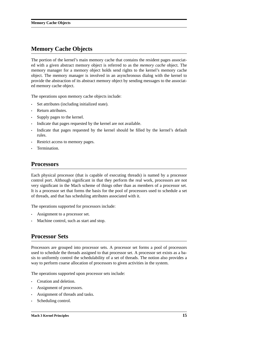## **Memory Cache Objects**

The portion of the kernel's main memory cache that contains the resident pages associated with a given abstract memory object is referred to as the *memory cache* object. The memory manager for a memory object holds send rights to the kernel's memory cache object. The memory manager is involved in an asynchronous dialog with the kernel to provide the abstraction of its abstract memory object by sending messages to the associated memory cache object.

The operations upon memory cache objects include:

- Set attributes (including initialized state).
- Return attributes.
- Supply pages to the kernel.
- Indicate that pages requested by the kernel are not available.
- Indicate that pages requested by the kernel should be filled by the kernel's default rules.
- Restrict access to memory pages.
- Termination.

## **Processors**

Each physical processor (that is capable of executing threads) is named by a processor control port. Although significant in that they perform the real work, processors are not very significant in the Mach scheme of things other than as members of a processor set. It is a processor set that forms the basis for the pool of processors used to schedule a set of threads, and that has scheduling attributes associated with it.

The operations supported for processors include:

- Assignment to a processor set.
- Machine control, such as start and stop.

## **Processor Sets**

Processors are grouped into processor sets. A processor set forms a pool of processors used to schedule the threads assigned to that processor set. A processor set exists as a basis to uniformly control the schedulability of a set of threads. The notion also provides a way to perform coarse allocation of processors to given activities in the system.

The operations supported upon processor sets include:

- Creation and deletion.
- Assignment of processors.
- Assignment of threads and tasks.
- Scheduling control.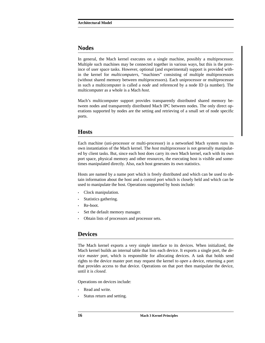#### **Nodes**

In general, the Mach kernel executes on a single machine, possibly a multiprocessor. Multiple such machines may be connected together in various ways, but this is the province of user space tasks. However, optional (and experimental) support is provided within the kernel for *multicomputers*, "machines" consisting of multiple multiprocessors (without shared memory between multiprocessors). Each uniprocessor or multiprocessor in such a multicomputer is called a *node* and referenced by a node ID (a number). The multicomputer as a whole is a Mach *host*.

Mach's multicomputer support provides transparently distributed shared memory between nodes and transparently distributed Mach IPC between nodes. The only direct operations supported by nodes are the setting and retrieving of a small set of node specific ports.

### **Hosts**

Each machine (uni-processor or multi-processor) in a networked Mach system runs its own instantiation of the Mach kernel. The *host* multiprocessor is not generally manipulated by client tasks. But, since each host does carry its own Mach kernel, each with its own port space, physical memory and other resources, the executing host is visible and sometimes manipulated directly. Also, each host generates its own statistics.

Hosts are named by a name port which is freely distributed and which can be used to obtain information about the host and a control port which is closely held and which can be used to manipulate the host. Operations supported by hosts include:

- Clock manipulation.
- Statistics gathering.
- Re-boot.
- Set the default memory manager.
- Obtain lists of processors and processor sets.

## **Devices**

The Mach kernel exports a very simple interface to its devices. When initialized, the Mach kernel builds an internal table that lists each device. It exports a single port, the *device master* port, which is responsible for allocating devices. A task that holds send rights to the device master port may request the kernel to *open* a device, returning a port that provides access to that device. Operations on that port then manipulate the device, until it is *closed*.

Operations on devices include:

- Read and write.
- Status return and setting.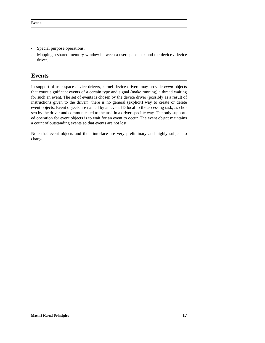- Special purpose operations.
- Mapping a shared memory window between a user space task and the device / device driver.

## **Events**

In support of user space device drivers, kernel device drivers may provide *event* objects that count significant events of a certain type and signal (make running) a thread waiting for such an event. The set of events is chosen by the device driver (possibly as a result of instructions given to the driver); there is no general (explicit) way to create or delete event objects. Event objects are named by an event ID local to the accessing task, as chosen by the driver and communicated to the task in a driver specific way. The only supported operation for event objects is to wait for an event to occur. The event object maintains a count of outstanding events so that events are not lost.

Note that event objects and their interface are very preliminary and highly subject to change.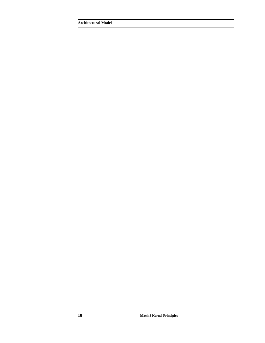**Architectural Model**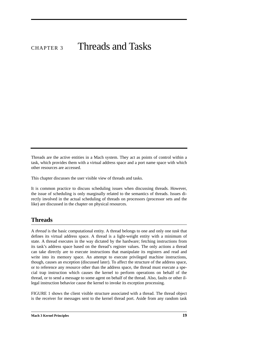## CHAPTER 3 Threads and Tasks

Threads are the active entities in a Mach system. They act as points of control within a task, which provides them with a virtual address space and a port name space with which other resources are accessed.

This chapter discusses the user visible view of threads and tasks.

It is common practice to discuss scheduling issues when discussing threads. However, the issue of scheduling is only marginally related to the semantics of threads. Issues directly involved in the actual scheduling of threads on processors (processor sets and the like) are discussed in the chapter on physical resources.

## **Threads**

A *thread* is the basic computational entity. A thread belongs to one and only one *task* that defines its virtual address space. A thread is a light-weight entity with a minimum of state. A thread executes in the way dictated by the hardware; fetching instructions from its task's address space based on the thread's register values. The only actions a thread can take directly are to execute instructions that manipulate its registers and read and write into its memory space. An attempt to execute privileged machine instructions, though, causes an exception (discussed later). To affect the structure of the address space, or to reference any resource other than the address space, the thread must execute a special trap instruction which causes the kernel to perform operations on behalf of the thread, or to send a message to some agent on behalf of the thread. Also, faults or other illegal instruction behavior cause the kernel to invoke its exception processing.

FIGURE 1 shows the client visible structure associated with a thread. The thread object is the receiver for messages sent to the kernel thread port. Aside from any random task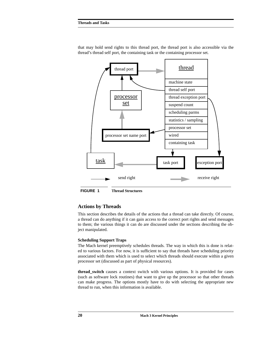

that may hold send rights to this thread port, the thread port is also accessible via the thread's thread self port, the containing task or the containing processor set.

## **Actions by Threads**

This section describes the details of the actions that a thread can take directly. Of course, a thread can do anything if it can gain access to the correct port rights and send messages to them; the various things it can do are discussed under the sections describing the object manipulated.

#### **Scheduling Support Traps**

The Mach kernel preemptively schedules threads. The way in which this is done is related to various factors. For now, it is sufficient to say that threads have scheduling priority associated with them which is used to select which threads should execute within a given processor set (discussed as part of physical resources).

**thread\_switch** causes a context switch with various options. It is provided for cases (such as software lock routines) that want to give up the processor so that other threads can make progress. The options mostly have to do with selecting the appropriate new thread to run, when this information is available.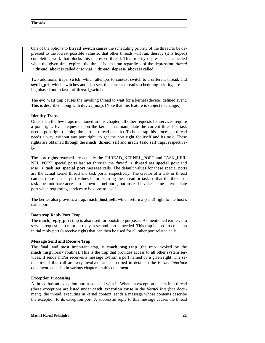#### **Threads**

One of the options to **thread\_switch** causes the scheduling priority of the thread to be depressed to the lowest possible value so that other threads will run, thereby (it is hoped) completing work that blocks this depressed thread. This priority depression is canceled when the given time expires, the thread is next run regardless of the depression, *thread* →**thread\_abort** is called or *thread* →**thread\_depress\_abort** is called.

Two additional traps, **swtch,** which attempts to context switch to a different thread, and **swtch pri**, which switches and also sets the current thread's scheduling priority, are being phased out in favor of **thread\_switch**.

The **evc\_wait** trap causes the invoking thread to wait for a kernel (device) defined event. This is described along with **device map**. (Note that this feature is subject to change.)

#### **Identity Traps**

Other than the few traps mentioned in this chapter, all other requests for services require a port right. Even requests upon the kernel that manipulate the current thread or task need a port right (naming the current thread or task). To bootstrap this process, a thread needs a way, without any port right, to get the port right for itself and its task. These rights are obtained through the **mach\_thread\_self** and **mach\_task\_self** traps, respectively.

The port rights returned are actually the THREAD\_KERNEL\_PORT and TASK\_KER-NEL PORT special ports last set through the *thread*  $\rightarrow$  **thread set special port** and  $task \rightarrow$  task set special port message calls. The default values for these special ports are the actual kernel thread and task ports, respectively. The creator of a task or thread can set these special port values before starting the thread or task so that the thread or task does not have access to its own kernel ports, but instead invokes some intermediate port when requesting services to be done to itself.

The kernel also provides a trap, **mach\_host\_self**, which return a (send) right to the host's name port.

#### **Bootstrap Reply Port Trap**

The **mach\_reply\_port** trap is also used for bootstrap purposes. As mentioned earlier, if a service request is to return a reply, a second port is needed. This trap is used to create an initial reply port (a receive right) that can then be used for all other port related calls.

#### **Message Send and Receive Trap**

The final, and most important trap, is **mach\_msg\_trap** (the trap invoked by the **mach\_msg** library routine). This is the trap that provides access to all other system services. It sends and/or receives a message to/from a port named by a given right. The semantics of this call are very involved, and described in detail in the *Kernel Interface* document, and also in various chapters in this document.

#### **Exception Processing**

A thread has an exception port associated with it. When an exception occurs in a thread (these exceptions are listed under **catch\_exception\_raise** in the *Kernel Interface* document), the thread, executing in kernel context, sends a message whose contents describe the exception to its exception port. A successful reply to this message causes the thread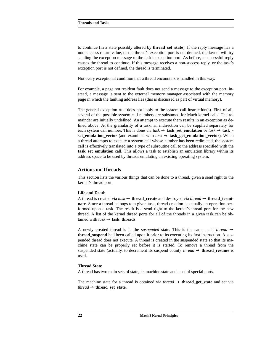to continue (in a state possibly altered by **thread\_set\_state**). If the reply message has a non-success return value, or the thread's exception port is not defined, the kernel will try sending the exception message to the task's exception port. As before, a successful reply causes the thread to continue. If this message receives a non-success reply, or the task's exception port is not defined, the thread is terminated.

Not every exceptional condition that a thread encounters is handled in this way.

For example, a page not resident fault does not send a message to the exception port; instead, a message is sent to the external memory manager associated with the memory page in which the faulting address lies (this is discussed as part of virtual memory).

The general exception rule does not apply to the system call instruction(s). First of all, several of the possible system call numbers are subsumed for Mach kernel calls. The remainder are initially undefined. An attempt to execute them results in an exception as defined above. At the granularity of a task, an indirection can be supplied separately for each system call number. This is done via  $task \rightarrow$  **task\_set\_emulation** or  $task \rightarrow$  **task\_set\_emulation\_vector** (and examined with  $task \rightarrow$  **task\_get\_emulation\_vector**). When a thread attempts to execute a system call whose number has been redirected, the system call is effectively translated into a type of subroutine call to the address specified with the **task\_set\_emulation** call. This allows a task to establish an emulation library within its address space to be used by threads emulating an existing operating system.

#### **Actions on Threads**

This section lists the various things that can be done to a thread, given a send right to the kernel's thread port.

#### **Life and Death**

A thread is created via  $task \rightarrow \textbf{thread\_create}$  and destroyed via *thread*  $\rightarrow \textbf{thread\_termi-}$ **nate**. Since a thread belongs to a given task, thread creation is actually an operation performed upon a task. The result is a send right to the kernel's thread port for the new thread. A list of the kernel thread ports for all of the threads in a given task can be obtained with  $task \rightarrow task_{\text{threads}}$ .

A newly created thread is in the *suspended* state. This is the same as if *thread*  $\rightarrow$ **thread\_suspend** had been called upon it prior to its executing its first instruction. A suspended thread does not execute. A thread is created in the suspended state so that its machine state can be properly set before it is started. To remove a thread from the suspended state (actually, to decrement its suspend count), *thread* → **thread\_resume** is used.

#### **Thread State**

A thread has two main sets of state, its machine state and a set of special ports.

The machine state for a thread is obtained via *thread*  $\rightarrow$  **thread get state** and set via  $thread \rightarrow thread_set\_state$ .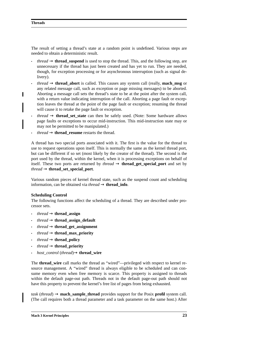The result of setting a thread's state at a random point is undefined. Various steps are needed to obtain a deterministic result.

- *thread*  $\rightarrow$  **thread\_suspend** is used to stop the thread. This, and the following step, are unnecessary if the thread has just been created and has yet to run. They are needed, though, for exception processing or for asynchronous interruption (such as signal delivery).
- $thread \rightarrow$  **thread** abort is called. This causes any system call (really, **mach** msg or any related message call, such as exception or page missing messages) to be aborted. Aborting a message call sets the thread's state to be at the point after the system call, with a return value indicating interruption of the call. Aborting a page fault or exception leaves the thread at the point of the page fault or exception; resuming the thread will cause it to retake the page fault or exception.
- *thread* → **thread\_set\_state** can then be safely used. (Note: Some hardware allows page faults or exceptions to occur mid-instruction. This mid-instruction state may or may not be permitted to be manipulated.)
- $thread \rightarrow thread$  resume restarts the thread.

A thread has two special ports associated with it. The first is the value for the thread to use to request operations upon itself. This is normally the same as the kernel thread port, but can be different if so set (most likely by the creator of the thread). The second is the port used by the thread, within the kernel, when it is processing exceptions on behalf of itself. These two ports are returned by *thread*  $\rightarrow$  **thread\_get\_special\_port** and set by *thread*  $\rightarrow$  **thread** set special port.

Various random pieces of kernel thread state, such as the suspend count and scheduling information, can be obtained via *thread*  $\rightarrow$  **thread info**.

#### **Scheduling Control**

The following functions affect the scheduling of a thread. They are described under processor sets.

- $thread \rightarrow thread$  assign
- $thread \rightarrow thread$  assign default
- $thread \rightarrow thread\_get\_assignment$
- $thread \rightarrow thread$  max priority
- *thread* → **thread\_policy**
- $thread \rightarrow$  **thread** priority
- *host\_control* (*thread*)→ **thread\_wire**

The **thread\_wire** call marks the thread as "wired"—privileged with respect to kernel resource management. A "wired" thread is always eligible to be scheduled and can consume memory even when free memory is scarce. This property is assigned to threads within the default page-out path. Threads not in the default page-out path should not have this property to prevent the kernel's free list of pages from being exhausted.

 $task (thread) \rightarrow \textbf{mach\_sample\_thread}$  provides support for the Posix **profil** system call. (The call requires both a thread parameter and a task parameter on the same host.) After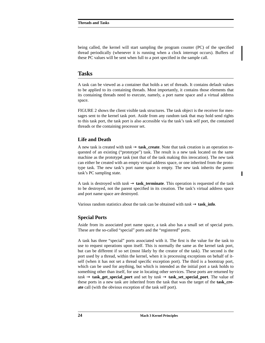being called, the kernel will start sampling the program counter (PC) of the specified thread periodically (whenever it is running when a clock interrupt occurs). Buffers of these PC values will be sent when full to a port specified in the sample call.

#### **Tasks**

A task can be viewed as a container that holds a set of threads. It contains default values to be applied to its containing threads. Most importantly, it contains those elements that its containing threads need to execute, namely, a port name space and a virtual address space.

FIGURE 2 shows the client visible task structures. The task object is the receiver for messages sent to the kernel task port. Aside from any random task that may hold send rights to this task port, the task port is also accessible via the task's task self port, the contained threads or the containing processor set.

#### **Life and Death**

A new task is created with  $task \rightarrow$  **task\_create**. Note that task creation is an operation requested of an existing ("prototype") task. The result is a new task located on the same machine as the prototype task (not that of the task making this invocation). The new task can either be created with an empty virtual address space, or one inherited from the prototype task. The new task's port name space is empty. The new task inherits the parent task's PC sampling state.

Π

A task is destroyed with  $task \rightarrow$  task\_terminate. This operation is requested of the task to be destroyed, not the parent specified in its creation. The task's virtual address space and port name space are destroyed.

Various random statistics about the task can be obtained with  $task \rightarrow task\_info$ .

#### **Special Ports**

Aside from its associated port name space, a task also has a small set of special ports. These are the so-called "special" ports and the "registered" ports.

A task has three "special" ports associated with it. The first is the value for the task to use to request operations upon itself. This is normally the same as the kernel task port, but can be different if so set (most likely by the creator of the task). The second is the port used by a thread, within the kernel, when it is processing exceptions on behalf of itself (when it has not set a thread specific exception port). The third is a bootstrap port, which can be used for anything, but which is intended as the initial port a task holds to something other than itself, for use in locating other services. These ports are returned by  $\text{task} \rightarrow \text{task\_get\_special\_port}$  and set by  $\text{task} \rightarrow \text{task\_set\_special\_port}$ . The value of these ports in a new task are inherited from the task that was the target of the **task\_create** call (with the obvious exception of the task self port).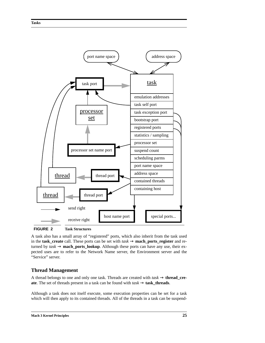

**FIGURE 2 Task Structures**

A task also has a small array of "registered" ports, which also inherit from the task used in the **task\_create** call. These ports can be set with *task* → **mach\_ports\_register** and returned by  $task \rightarrow \textbf{mach\_ports\_lookup}$ . Although these ports can have any use, their expected uses are to refer to the Network Name server, the Environment server and the "Service" server.

#### **Thread Management**

A thread belongs to one and only one task. Threads are created with  $task \rightarrow thread\_cre$ **ate**. The set of threads present in a task can be found with  $task \rightarrow task\_threads$ .

Although a task does not itself execute, some execution properties can be set for a task which will then apply to its contained threads. All of the threads in a task can be suspend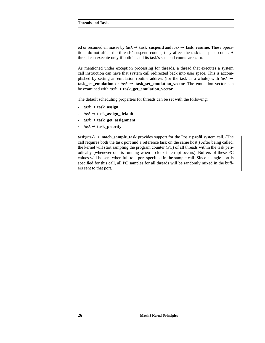ed or resumed en masse by  $task \rightarrow$  **task\_suspend** and  $task \rightarrow$  **task\_resume**. These operations do not affect the threads' suspend counts; they affect the task's suspend count. A thread can execute only if both its and its task's suspend counts are zero.

As mentioned under exception processing for threads, a thread that executes a system call instruction can have that system call redirected back into user space. This is accomplished by setting an emulation routine address (for the task as a whole) with  $task \rightarrow$ **task\_set\_emulation** or  $task \rightarrow task_set$ **\_emulation\_vector**. The emulation vector can be examined with  $task \rightarrow task$  get emulation vector.

The default scheduling properties for threads can be set with the following:

- $task \rightarrow task\_assign$
- $task \rightarrow task\_assign\_default$
- $task \rightarrow task\_get\_assignment$
- $task \rightarrow task\_priority$

 $task(task) \rightarrow \textbf{mach}$  sample task provides support for the Posix **profil** system call. (The call requires both the task port and a reference task on the same host.) After being called, the kernel will start sampling the program counter (PC) of all threads within the task periodically (whenever one is running when a clock interrupt occurs). Buffers of these PC values will be sent when full to a port specified in the sample call. Since a single port is specified for this call, all PC samples for all threads will be randomly mixed in the buffers sent to that port.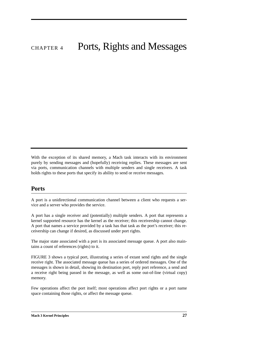With the exception of its shared memory, a Mach task interacts with its environment purely by sending messages and (hopefully) receiving replies. These messages are sent via ports, communication channels with multiple senders and single receivers. A task holds rights to these ports that specify its ability to send or receive messages.

## **Ports**

A port is a unidirectional communication channel between a client who requests a service and a server who provides the service.

A port has a single receiver and (potentially) multiple senders. A port that represents a kernel supported resource has the kernel as the receiver; this receivership cannot change. A port that names a service provided by a task has that task as the port's receiver; this receivership can change if desired, as discussed under port rights.

The major state associated with a port is its associated message queue. A port also maintains a count of references (rights) to it.

FIGURE 3 shows a typical port, illustrating a series of extant send rights and the single receive right. The associated message queue has a series of ordered messages. One of the messages is shown in detail, showing its destination port, reply port reference, a send and a receive right being passed in the message, as well as some out-of-line (virtual copy) memory.

Few operations affect the port itself; most operations affect port rights or a port name space containing those rights, or affect the message queue.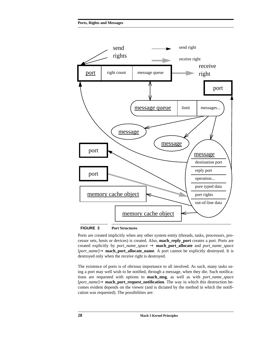

**FIGURE 3 Port Structures**

Ports are created implicitly when any other system entity (threads, tasks, processors, processor sets, hosts or devices) is created. Also, **mach\_reply\_port** creates a port. Ports are created explicitly by *port* name space  $\rightarrow$  **mach** port allocate and *port* name space [*port\_name*]→ **mach\_port\_allocate\_name**. A port cannot be explicitly destroyed. It is destroyed only when the receive right is destroyed.

The existence of ports is of obvious importance to all involved. As such, many tasks using a port may well wish to be notified, through a message, when they die. Such notifications are requested with options to **mach\_msg**, as well as with *port\_name\_space* [*port\_name*]→ **mach\_port\_request\_notification**. The way in which this destruction becomes evident depends on the viewer (and is dictated by the method in which the notification was requested). The possibilities are: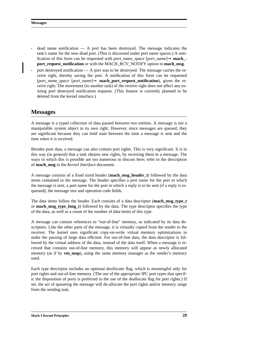- $\alpha$  dead name notification  $A$  port has been destroyed. The message indicates the task's name for the now dead port. (This is discussed under port name spaces.) A notification of this form can be requested with *port\_name\_space* [*port\_name*]→ **mach\_ port\_request\_notification** or with the MACH\_RCV\_NOTIFY option to **mach\_msg**.
- port destroyed notification A port was to be destroyed. The message carries the receive right, thereby saving the port. A notification of this form can be requested (*port\_name\_space* [*port\_name*]→ **mach\_port\_request\_notification**), given the receive right. The movement (to another task) of the receive right does not affect any existing port destroyed notification requests. (This feature is currently planned to be deleted from the kernel interface.)

## **Messages**

A message is a typed collection of data passed between two entities. A message is not a manipulable system object in its own right. However, since messages are queued, they are significant because they can hold state between the time a message is sent and the time when it is received.

Besides pure data, a message can also contain port rights. This is very significant. It is in this way (in general) that a task obtains new rights, by receiving them in a message. The ways in which this is possible are too numerous to discuss here; refer to the description of **mach\_msg** in the *Kernel Interface* document.

A message consists of a fixed sized header (**mach\_msg\_header\_t**) followed by the data items contained in the message. The header specifies a port name for the port to which the message is sent, a port name for the port to which a reply is to be sent (if a reply is requested), the message size and operation code fields.

The data items follow the header. Each consists of a data descriptor (**mach\_msg\_type\_t** or **mach\_msg\_type\_long\_t**) followed by the data. The type descriptor specifies the type of the data, as well as a count of the number of data items of this type.

A message can contain references to "out-of-line" memory, as indicated by its data descriptors. Like the other parts of the message, it is virtually copied from the sender to the receiver. The kernel uses significant copy-on-write virtual memory optimizations to make the passing of large data efficient. For our-of-line data, the data descriptor is followed by the virtual address of the data, instead of the data itself. When a message is received that contains out-of-line memory, this memory will appear as newly allocated memory (as if by **vm\_map**), using the same memory manager as the sender's memory used.

Each type descriptor includes an optional *deallocate* flag, which is meaningful only for port rights and out-of-line memory. (The use of the appropriate IPC port types that specific the disposition of ports is preferred to the use of the deallocate flag for port rights.) If set, the act of queueing the message will de-allocate the port rights and/or memory range from the sending task.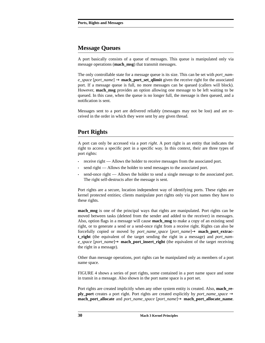## **Message Queues**

A port basically consists of a queue of messages. This queue is manipulated only via message operations (**mach\_msg**) that transmit messages.

The only controllable state for a message queue is its size. This can be set with *port\_name\_space [port\_name]*  $\rightarrow$  **mach\_port\_set\_qlimit** given the receive right for the associated port. If a message queue is full, no more messages can be queued (callers will block). However, **mach\_msg** provides an option allowing one message to be left waiting to be queued. In this case, when the queue is no longer full, the message is then queued, and a notification is sent.

Messages sent to a port are delivered reliably (messages may not be lost) and are received in the order in which they were sent by any given thread.

## **Port Rights**

A port can only be accessed via a port *right*. A port right is an entity that indicates the right to access a specific port in a specific way. In this context, their are three types of port rights:

- receive right Allows the holder to receive messages from the associated port.
- send right Allows the holder to send messages to the associated port.
- send-once right Allows the holder to send a single message to the associated port. The right self-destructs after the message is sent.

Port rights are a secure, location independent way of identifying ports. These rights are kernel protected entities; clients manipulate port rights only via port names they have to these rights.

**mach\_msg** is one of the principal ways that rights are manipulated. Port rights can be moved between tasks (deleted from the sender and added to the receiver) in messages. Also, option flags in a message will cause **mach\_msg** to make a copy of an existing send right, or to generate a send or a send-once right from a receive right. Rights can also be forcefully copied or moved by *port name space*  $[port name] \rightarrow$  *mach port extrac***t** right (the equivalent of the target sending the right in a message) and *port name\_space* [*port\_name*]→ **mach\_port\_insert\_right** (the equivalent of the target receiving the right in a message).

Other than message operations, port rights can be manipulated only as members of a port name space.

FIGURE 4 shows a series of port rights, some contained in a port name space and some in transit in a message. Also shown in the port name space is a port set.

Port rights are created implicitly when any other system entity is created. Also, **mach** re**ply** port creates a port right. Port rights are created explicitly by *port* name space  $\rightarrow$ **mach\_port\_allocate** and *port\_name\_space* [*port\_name*]→ **mach\_port\_allocate\_name**.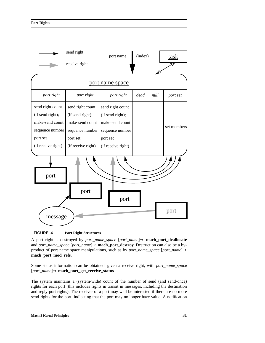

#### **FIGURE 4 Port Right Structures**

A port right is destroyed by *port\_name\_space* [*port\_name*]→ **mach\_port\_deallocate** and *port\_name\_space* [*port\_name*]→ **mach\_port\_destroy**. Destruction can also be a byproduct of port name space manipulations, such as by *port\_name\_space* [*port\_name*]→ **mach\_port\_mod\_refs**.

Some status information can be obtained, given a receive right, with *port\_name\_space* [*port\_name*]→ **mach\_port\_get\_receive\_status**.

The system maintains a (system-wide) count of the number of send (and send-once) rights for each port (this includes rights in transit in messages, including the destination and reply port rights). The receiver of a port may well be interested if there are no more send rights for the port, indicating that the port may no longer have value. A notification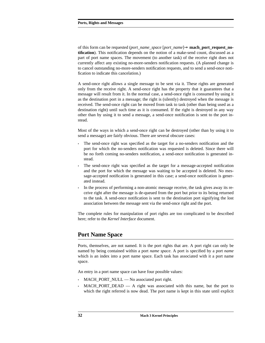of this form can be requested (*port\_name\_space* [*port\_name*]→ **mach\_port\_request\_notification**). This notification depends on the notion of a make-send count, discussed as a part of port name spaces. The movement (to another task) of the receive right does not currently affect any existing no-more-senders notification requests. (A planned change is to cancel outstanding no-more-senders notification requests, and to send a send-once notification to indicate this cancelation.)

A send-once right allows a single message to be sent via it. These rights are generated only from the receive right. A send-once right has the property that it guarantees that a message will result from it. In the normal case, a send-once right is consumed by using it as the destination port in a message; the right is (silently) destroyed when the message is received. The send-once right can be moved from task to task (other than being used as a destination right) until such time as it is consumed. If the right is destroyed in any way other than by using it to send a message, a send-once notification is sent to the port instead.

Most of the ways in which a send-once right can be destroyed (other than by using it to send a message) are fairly obvious. There are several obscure cases:

- The send-once right was specified as the target for a no-senders notification and the port for which the no-senders notification was requested is deleted. Since there will be no forth coming no-senders notification, a send-once notification is generated instead.
- The send-once right was specified as the target for a message-accepted notification and the port for which the message was waiting to be accepted is deleted. No message-accepted notification is generated in this case; a send-once notification is generated instead.
- In the process of performing a non-atomic message receive, the task gives away its receive right after the message is de-queued from the port but prior to its being returned to the task. A send-once notification is sent to the destination port signifying the lost association between the message sent via the send-once right and the port.

The complete rules for manipulation of port rights are too complicated to be described here; refer to the *Kernel Interface* document.

## **Port Name Space**

Ports, themselves, are not named. It is the port rights that are. A port right can only be named by being contained within a port *name space*. A port is specified by a port *name* which is an index into a port name space. Each task has associated with it a port name space.

An entry in a port name space can have four possible values:

- MACH PORT NULL No associated port right.
- MACH\_PORT\_DEAD A right was associated with this name, but the port to which the right referred is now dead. The port name is kept in this state until explicit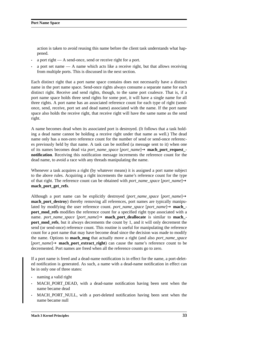action is taken to avoid reusing this name before the client task understands what happened.

- a port right A send-once, send or receive right for a port.
- a port set name A name which acts like a receive right, but that allows receiving from multiple ports. This is discussed in the next section.

Each distinct right that a port name space contains does not necessarily have a distinct name in the port name space. Send-once rights always consume a separate name for each distinct right. Receive and send rights, though, to the same port coalesce. That is, if a port name space holds three send rights for some port, it will have a single name for all three rights. A port name has an associated reference count for each type of right (sendonce, send, receive, port set and dead name) associated with the name. If the port name space also holds the receive right, that receive right will have the same name as the send right.

A name becomes dead when its associated port is destroyed. (It follows that a task holding a dead name cannot be holding a receive right under that name as well.) The dead name only has a non-zero reference count for the number of send or send-once references previously held by that name. A task can be notified (a message sent to it) when one of its names becomes dead via *port\_name\_space* [*port\_name*]→ **mach\_port\_request\_ notification**. Receiving this notification message increments the reference count for the dead name, to avoid a race with any threads manipulating the name.

Whenever a task acquires a right (by whatever means) it is assigned a port name subject to the above rules. Acquiring a right increments the name's reference count for the type of that right. The reference count can be obtained with *port\_name\_space* [*port\_name*]→ **mach\_port\_get\_refs**.

Although a port name can be explicitly destroyed (*port name space [port name*] $\rightarrow$ **mach\_port\_destroy**) thereby removing all references, port names are typically manipulated by modifying the user reference count. *port name space*  $[port name] \rightarrow \textbf{mach}$ **port\_mod\_refs** modifies the reference count for a specified right type associated with a name. *port name space* [*port name*] $\rightarrow$  **mach port deallocate** is similar to **mach port mod refs**, but it always decrements the count by 1, and it will only decrement the send (or send-once) reference count. This routine is useful for manipulating the reference count for a port name that may have become dead since the decision was made to modify the name. Options to **mach\_msg** that actually move a right (and also *port\_name\_space* [*port\_name*]→ **mach\_port\_extract\_right**) can cause the name's reference count to be decremented. Port names are freed when all the reference counts go to zero.

If a port name is freed and a dead-name notification is in effect for the name, a port-deleted notification is generated. As such, a name with a dead-name notification in effect can be in only one of three states:

- naming a valid right
- MACH\_PORT\_DEAD, with a dead-name notification having been sent when the name became dead
- MACH\_PORT\_NULL, with a port-deleted notification having been sent when the name became null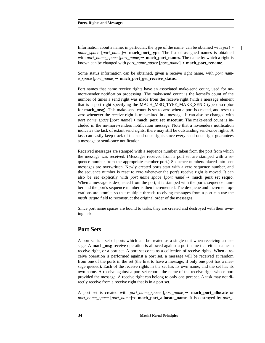Information about a name, in particular, the type of the name, can be obtained with *port\_ name\_space* [*port\_name*]→ **mach\_port\_type**. The list of assigned names is obtained with *port* name space  $[port_name] \rightarrow \textbf{mach}$  port names. The name by which a right is known can be changed with *port\_name\_space* [*port\_name*]→ **mach\_port\_rename**.

Some status information can be obtained, given a receive right name, with *port\_name\_space* [*port\_name*]→ **mach\_port\_get\_receive\_status**.

Port names that name receive rights have an associated make-send count, used for nomore-sender notification processing. The make-send count is the kernel's count of the number of times a send right was made from the receive right (with a message element that is a port right specifying the MACH\_MSG\_TYPE\_MAKE\_SEND type descriptor for **mach\_msg**). This make-send count is set to zero when a port is created, and reset to zero whenever the receive right is transmitted in a message. It can also be changed with *port\_name\_space [port\_name]→* **mach\_port\_set\_mscount**. The make-send count is included in the no-more-senders notification message. Note that a no-senders notification indicates the lack of extant send rights; there may still be outstanding send-once rights. A task can easily keep track of the send-once rights since every send-once right guarantees a message or send-once notification.

Received messages are stamped with a sequence number, taken from the port from which the message was received. (Messages received from a port set are stamped with a sequence number from the appropriate member port.) Sequence numbers placed into sent messages are overwritten. Newly created ports start with a zero sequence number, and the sequence number is reset to zero whenever the port's receive right is moved. It can also be set explicitly with *port* name space  $[port name] \rightarrow$  **mach port set seqno.** When a message is de-queued from the port, it is stamped with the port's sequence number and the port's sequence number is then incremented. The de-queue and increment operations are atomic, so that multiple threads receiving messages from a port can use the *msgh\_seqno* field to reconstruct the original order of the messages.

Since port name spaces are bound to tasks, they are created and destroyed with their owning task.

### **Port Sets**

A port set is a set of ports which can be treated as a single unit when receiving a message. A **mach msg** receive operation is allowed against a port name that either names a receive right, or a port set. A port set contains a collection of receive rights. When a receive operation is performed against a port set, a message will be received at random from one of the ports in the set (the first to have a message, if only one port has a message queued). Each of the receive rights in the set has its own name, and the set has its own name. A receive against a port set reports the name of the receive right whose port provided the message. A receive right can belong to only one port set. A task may not directly receive from a receive right that is in a port set.

A port set is created with *port\_name\_space* [*port\_name*]→ **mach\_port\_allocate** or *port\_name\_space* [*port\_name*]→ **mach\_port\_allocate\_name**. It is destroyed by *port\_-*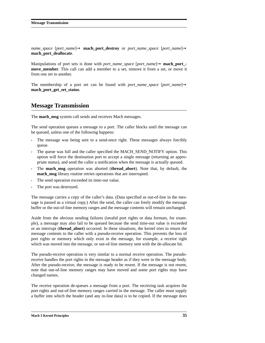*name\_space* [*port\_name*]→ **mach\_port\_destroy** or *port\_name\_space* [*port\_name*]→ **mach\_port\_deallocate**.

Manipulations of port sets is done with *port\_name\_space* [*port\_name*]→ **mach\_port\_ move member**. This call can add a member to a set, remove it from a set, or move it from one set to another.

The membership of a port set can be found with *port\_name\_space*  $[port_name] \rightarrow$ **mach\_port\_get\_set\_status**.

## **Message Transmission**

The **mach\_msg** system call sends and receives Mach messages.

The send operation queues a message to a port. The caller blocks until the message can be queued, unless one of the following happens:

- The message was being sent to a send-once right. These messages always forcibly queue.
- The queue was full and the caller specified the MACH\_SEND\_NOTIFY option. This option will force the destination port to accept a single message (returning an appropriate status), and send the caller a notification when the message is actually queued.
- The **mach\_msg** operation was aborted (**thread\_abort**). Note that, by default, the **mach\_msg** library routine retries operations that are interrupted.
- The send operation exceeded its time-out value.
- The port was destroyed.

The message carries a copy of the caller's data. (Data specified as out-of-line in the message is passed as a virtual copy.) After the send, the caller can freely modify the message buffer or the out-of-line memory ranges and the message contents will remain unchanged.

Aside from the obvious sending failures (invalid port rights or data formats, for example), a message may also fail to be queued because the send time-out value is exceeded or an interrupt (**thread\_abort**) occurred. In these situations, the kernel tries to return the message contents to the caller with a pseudo-receive operation. This prevents the loss of port rights or memory which only exist in the message, for example, a receive right which was moved into the message, or out-of-line memory sent with the de-allocate bit.

The pseudo-receive operation is very similar to a normal receive operation. The pseudoreceive handles the port rights in the message header as if they were in the message body. After the pseudo-receive, the message is ready to be resent. If the message is not resent, note that out-of-line memory ranges may have moved and some port rights may have changed names.

The receive operation de-queues a message from a port. The receiving task acquires the port rights and out-of-line memory ranges carried in the message. The caller must supply a buffer into which the header (and any in-line data) is to be copied. If the message does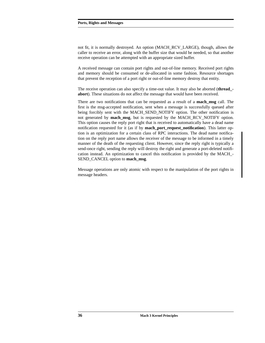not fit, it is normally destroyed. An option (MACH\_RCV\_LARGE), though, allows the caller to receive an error, along with the buffer size that would be needed, so that another receive operation can be attempted with an appropriate sized buffer.

A received message can contain port rights and out-of-line memory. Received port rights and memory should be consumed or de-allocated in some fashion. Resource shortages that prevent the reception of a port right or out-of-line memory destroy that entity.

The receive operation can also specify a time-out value. It may also be aborted (**thread\_ abort**). These situations do not affect the message that would have been received.

There are two notifications that can be requested as a result of a **mach\_msg** call. The first is the msg-accepted notification, sent when a message is successfully queued after being forcibly sent with the MACH\_SEND\_NOTIFY option. The other notification is not generated by **mach\_msg**, but is requested by the MACH\_RCV\_NOTIFY option. This option causes the reply port right that is received to automatically have a dead name notification requested for it (as if by **mach\_port\_request\_notification**). This latter option is an optimization for a certain class of RPC interactions. The dead name notification on the reply port name allows the receiver of the message to be informed in a timely manner of the death of the requesting client. However, since the reply right is typically a send-once right, sending the reply will destroy the right and generate a port-deleted notification instead. An optimization to cancel this notification is provided by the MACH\_- SEND\_CANCEL option to **mach\_msg**.

Message operations are only atomic with respect to the manipulation of the port rights in message headers.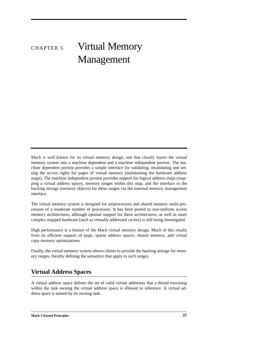# CHAPTER 5 Virtual Memory Management

Mach is well known for its virtual memory design, one that cleanly layers the virtual memory system into a machine dependent and a machine independent portion. The machine dependent portion provides a simple interface for validating, invalidating and setting the access rights for pages of virtual memory (maintaining the hardware address maps). The machine independent portion provides support for logical address maps (mapping a virtual address space), memory ranges within this map, and the interface to the backing storage (memory objects) for these ranges via the external memory management interface.

The virtual memory system is designed for uniprocessors and shared memory multi-processors of a moderate number of processors. It has been ported to non-uniform access memory architectures, although optimal support for these architectures, as well as more complex mapped hardware (such as virtually addressed caches) is still being investigated.

High performance is a feature of the Mach virtual memory design. Much of this results from its efficient support of large, sparse address spaces, shared memory, and virtual copy memory optimizations.

Finally, the virtual memory system allows clients to provide the backing storage for memory ranges, thereby defining the semantics that apply to such ranges.

## **Virtual Address Spaces**

A virtual address space defines the set of valid virtual addresses that a thread executing within the task owning the virtual address space is allowed to reference. A virtual address space is named by its owning task.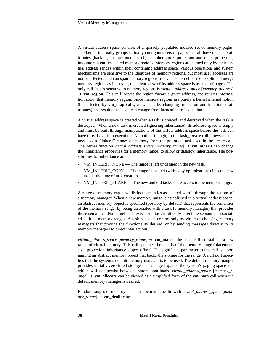A virtual address space consists of a sparsely populated indexed set of memory pages. The kernel internally groups virtually contiguous sets of pages that all have the same attributes (backing abstract memory object, inheritance, protection and other properties) into internal entities called memory regions. Memory regions are named only by their virtual address ranges within their containing address space. Various operations and system mechanisms are sensitive to the identities of memory regions, but most user accesses are not so affected, and can span memory regions freely. The kernel is free to split and merge memory regions as it sees fit; the client view of its address space is as a set of pages. The only call that is sensitive to memory regions is *virtual\_address\_space* [*memory\_address*]  $\rightarrow$  **vm\_region**. This call locates the region "near" a given address, and returns information about that memory region. Since memory regions are purely a kernel internal notion (but affected by **vm\_map** calls, as well as by changing protection and inheritance attributes), the result of this call can change from invocation to invocation.

A virtual address space is created when a task is created, and destroyed when the task is destroyed. When a new task is created (ignoring inheritance), its address space is empty and must be built through manipulations of the virtual address space before the task can have threads set into execution. An option, though, to the **task\_create** call allows for the new task to "inherit" ranges of memory from the prototype task used in the create call. The kernel function *virtual address space* [*memory range*]  $\rightarrow$  **vm inherit** can change the inheritance properties for a memory range, to allow or disallow inheritance. The possibilities for inheritance are:

- VM\_INHERIT\_NONE The range is left undefined in the new task.
- VM\_INHERIT\_COPY The range is copied (with copy optimizations) into the new task at the time of task creation.
- VM\_INHERIT\_SHARE The new and old tasks share access to the memory range.

A range of memory can have distinct semantics associated with it through the actions of a memory manager. When a new memory range is established in a virtual address space, an abstract memory object is specified (possibly by default) that represents the semantics of the memory range, by being associated with a task (a memory manager) that provides those semantics. No kernel calls exist for a task to directly affect the semantics associated with its memory ranges. A task has such control only by virtue of choosing memory managers that provide the functionality desired, or by sending messages directly to its memory managers to direct their actions.

*virtual\_address\_space [memory\_range]*  $\rightarrow$  *vm\_map is the basic call to establish a new* range of virtual memory. This call specifies the details of the memory range (placement, size, protection, inheritance, object offset). The significant parameter to this call is a port naming an abstract memory object that backs the storage for the range. A null port specifies that the system's default memory manager is to be used. The default memory manger provides initially zero-filled storage that is paged against the system's paging space and which will not persist between system boot-loads. *virtual address space* [*memory r* $angle \rightarrow \textbf{vm}$ **allocate** can be viewed as a simplified form of the **vm\_map** call when the default memory manager is desired.

Random ranges of memory space can be made invalid with *virtual\_address\_space* [*mem* $ory\_range$ ]  $\rightarrow$  **vm\_deallocate**.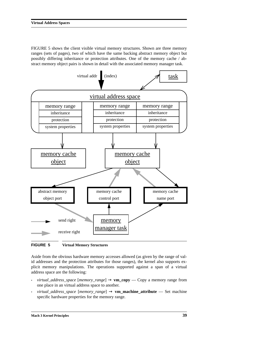FIGURE 5 shows the client visible virtual memory structures. Shown are three memory ranges (sets of pages), two of which have the same backing abstract memory object but possibly differing inheritance or protection attributes. One of the memory cache / abstract memory object pairs is shown in detail with the associated memory manager task.



**FIGURE 5 Virtual Memory Structures**

Aside from the obvious hardware memory accesses allowed (as given by the range of valid addresses and the protection attributes for those ranges), the kernel also supports explicit memory manipulations. The operations supported against a span of a virtual address space are the following:

- *virtual\_address\_space* [*memory\_range*] → **vm\_copy** Copy a memory range from one place in an virtual address space to another.
- *virtual\_address\_space* [*memory\_range*] → **vm\_machine\_attribute** Set machine specific hardware properties for the memory range.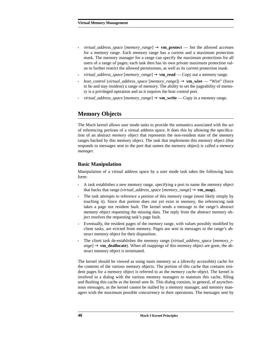- *virtual\_address\_space* [ $memory\_range$ ]  $\rightarrow$  **vm\_protect** Set the allowed accesses for a memory range. Each memory range has a current and a maximum protection mask. The memory manager for a range can specify the maximum protections for all users of a range of pages; each task then has its own private maximum protection value to further restrict the allowed permissions, as well as its current protection mask.
- *virtual\_address\_space* [*memory\_range*] → **vm\_read** Copy out a memory range.
- *host\_control* (*virtual\_address\_space* [*memory\_range*]) → **vm\_wire** "Wire" (force to be and stay resident) a range of memory. The ability to set the pageability of memory is a privileged operation and so it requires the host control port.
- *virtual\_address\_space* [*memory\_range*] → **vm\_write** Copy in a memory range.

## **Memory Objects**

The Mach kernel allows user mode tasks to provide the semantics associated with the act of referencing portions of a virtual address space. It does this by allowing the specification of an abstract *memory object* that represents the non-resident state of the memory ranges backed by this memory object. The task that implements this memory object (that responds to messages sent to the port that names the memory object) is called a *memory manager*.

#### **Basic Manipulation**

Manipulation of a virtual address space by a user mode task takes the following basic form:

- A task establishes a new memory range, specifying a port to name the memory object that backs that range (*virtual\_address\_space* [ $memory\_range$ ]  $\rightarrow$  **vm\_map**).
- The task attempts to reference a portion of this memory range (most likely simply by touching it). Since that portion does not yet exist in memory, the referencing task takes a page not resident fault. The kernel sends a message to the range's abstract memory object requesting the missing data. The reply from the abstract memory object resolves the requesting task's page fault.
- Eventually, the resident pages of the memory range, with values possibly modified by client tasks, are evicted from memory. Pages are sent in messages to the range's abstract memory object for their disposition.
- The client task de-establishes the memory range (*virtual\_address\_space* [*memory\_r* $angle \rightarrow \mathbf{vm}$  deallocate). When all mappings of this memory object are gone, the abstract memory object is terminated.

The kernel should be viewed as using main memory as a (directly accessible) cache for the contents of the various memory objects. The portion of this cache that contains resident pages for a memory object is referred to as the *memory cache* object. The kernel is involved in a dialog with the various memory managers to maintain this cache, filling and flushing this cache as the kernel sees fit. This dialog consists, in general, of asynchronous messages, as the kernel cannot be stalled by a memory manager, and memory managers wish the maximum possible concurrency in their operations. The messages sent by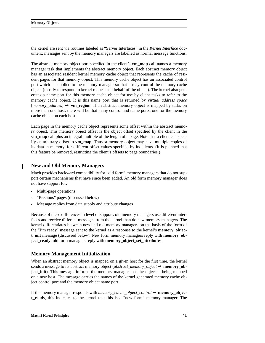the kernel are sent via routines labeled as "Server Interfaces" in the *Kernel Interface* document; messages sent by the memory managers are labelled as normal message functions.

The abstract memory object port specified in the client's **vm\_map** call names a memory manager task that implements the abstract memory object. Each abstract memory object has an associated resident kernel memory cache object that represents the cache of resident pages for that memory object. This memory cache object has an associated control port which is supplied to the memory manager so that it may control the memory cache object (mostly to respond to kernel requests on behalf of the object). The kernel also generates a name port for this memory cache object for use by client tasks to refer to the memory cache object. It is this name port that is returned by *virtual\_address\_space*  $[memory \text{ address}] \rightarrow \text{vm} \text{region}$ . If an abstract memory object is mapped by tasks on more than one host, there will be that many control and name ports, one for the memory cache object on each host.

Each page in the memory cache object represents some offset within the abstract memory object. This memory object offset is the object offset specified by the client in the **vm** map call plus an integral multiple of the length of a page. Note that a client can specify an arbitrary offset to **vm\_map**. Thus, a memory object may have multiple copies of its data in memory, for different offset values specified by its clients. (It is planned that this feature be removed, restricting the client's offsets to page boundaries.)

#### **New and Old Memory Managers**

Mach provides backward compatibility for "old form" memory managers that do not support certain mechanisms that have since been added. An old form memory manager does not have support for:

- Multi-page operations
- "Precious" pages (discussed below)
- Message replies from data supply and attribute changes

Because of these differences in level of support, old memory managers use different interfaces and receive different messages from the kernel than do new memory managers. The kernel differentiates between new and old memory managers on the basis of the form of the "I'm ready" message sent to the kernel as a response to the kernel's **memory\_object** init message (discussed below). New form memory managers reply with **memory** ob**ject\_ready**; old form managers reply with **memory\_object\_set\_attributes**.

#### **Memory Management Initialization**

When an abstract memory object is mapped on a given host for the first time, the kernel sends a message to its abstract memory object (*abstract\_memory\_object* → **memory\_object\_init**). This message informs the memory manager that the object is being mapped on a new host. The message carries the names of the kernel generated memory cache object control port and the memory object name port.

If the memory manager responds with *memory* cache object control  $\rightarrow$  **memory** objec**t\_ready**, this indicates to the kernel that this is a "new form" memory manager. The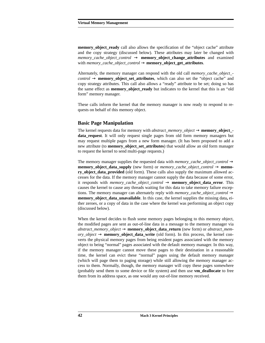**memory\_object\_ready** call also allows the specification of the "object cache" attribute and the copy strategy (discussed below). These attributes may later be changed with *memory* cache object control  $\rightarrow$  **memory object change attributes** and examined with *memory* cache object control  $\rightarrow$  **memory** object get attributes.

Alternately, the memory manager can respond with the old call *memory\_cache\_object\_ control* → **memory\_object\_set\_attributes**, which can also set the "object cache" and copy strategy attributes. This call also allows a "ready" attribute to be set; doing so has the same effect as **memory\_object\_ready** but indicates to the kernel that this is an "old form" memory manager.

These calls inform the kernel that the memory manager is now ready to respond to requests on behalf of this memory object.

#### **Basic Page Manipulation**

The kernel requests data for memory with *abstract\_memory\_object*  $\rightarrow$  **memory\_object data\_request**. It will only request single pages from old form memory managers but may request multiple pages from a new form manager. (It has been proposed to add a new attribute (to **memory\_object\_set\_attributes**) that would allow an old form manager to request the kernel to send multi-page requests.)

The memory manager supplies the requested data with *memory\_cache\_object\_control* → **memory\_object\_data\_supply** (new form) or *memory\_cache\_object\_control* → **memory** object data provided (old form). These calls also supply the maximum allowed accesses for the data. If the memory manager cannot supply the data because of some error, it responds with *memory\_cache\_object\_control* → **memory\_object\_data\_error**. This causes the kernel to cause any threads waiting for this data to take memory failure exceptions. The memory manager can alternately reply with *memory\_cache\_object\_control* → **memory\_object\_data\_unavailable**. In this case, the kernel supplies the missing data**,** either zeroes, or a copy of data in the case where the kernel was performing an object copy (discussed below).

When the kernel decides to flush some memory pages belonging to this memory object, the modified pages are sent as out-of-line data in a message to the memory manager via *abstract memory object*  $\rightarrow$  **memory object data return** (new form) or *abstract mem-* $\frac{\partial v}{\partial y}$ *object*  $\rightarrow$  **memory\_object\_data\_write** (old form). In this process, the kernel converts the physical memory pages from being resident pages associated with the memory object to being "normal" pages associated with the default memory manager. In this way, if the memory manager cannot move these pages to their destination in a reasonable time, the kernel can evict these "normal" pages using the default memory manager (which will page them to paging storage) while still allowing the memory manager access to them. Normally, though, the memory manager will copy these pages somewhere (probably send them to some device or file system) and then use **vm\_deallocate** to free them from its address space, as one would any out-of-line memory received.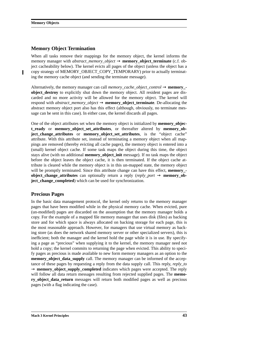#### **Memory Object Termination**

When all tasks remove their mappings for the memory object, the kernel informs the memory manager with *abstract\_memory\_object* → **memory\_object\_terminate** (c.f. object cacheability below). The kernel evicts all pages of the object (unless the object has a copy strategy of MEMORY\_OBJECT\_COPY\_TEMPORARY) prior to actually terminating the memory cache object (and sending the terminate message).

Alternatively, the memory manager can call *memory\_cache\_object\_control* → **memory\_ object destroy** to explicitly shut down the memory object. All resident pages are discarded and no more activity will be allowed for the memory object. The kernel will respond with *abstract* memory object  $\rightarrow$  **memory** object **terminate**. De-allocating the abstract memory object port also has this effect (although, obviously, no terminate message can be sent in this case). In either case, the kernel discards all pages.

One of the object attributes set when the memory object is initialized by **memory\_object\_ready** or **memory\_object\_set\_attributes**, or thereafter altered by **memory\_object** change attributes or memory object set attributes, is the "object cache" attribute. With this attribute set, instead of terminating a memory object when all mappings are removed (thereby evicting all cache pages), the memory object is entered into a (small) kernel object cache. If some task maps the object during this time, the object stays alive (with no additional **memory\_object\_init** message). If no task maps the object before the object leaves the object cache, it is then terminated. If the object cache attribute is cleared while the memory object is in this un-mapped state, the memory object will be promptly terminated. Since this attribute change can have this effect, **memory object** change attributes can optionally return a reply (*reply port*  $\rightarrow$  **memory** ob**ject** change completed) which can be used for synchronization.

#### **Precious Pages**

In the basic data management protocol, the kernel only returns to the memory manager pages that have been modified while in the physical memory cache. When evicted, pure (un-modified) pages are discarded on the assumption that the memory manager holds a copy. For the example of a mapped file memory manager that uses disk (files) as backing store and for which space is always allocated on backing storage for each page, this is the most reasonable approach. However, for managers that use virtual memory as backing store (as does the network shared memory server or other specialized servers), this is inefficient; both the manager and the kernel hold the page while it is in use. By specifying a page as "precious" when supplying it to the kernel, the memory manager need not hold a copy; the kernel commits to returning the page when evicted. This ability to specify pages as precious is made available to new form memory managers as an option to the **memory** object data supply call. The memory manager can be informed of the acceptance of these pages by requesting a reply from the data supply call. This reply, *reply\_to* → **memory\_object\_supply\_completed** indicates which pages were accepted. The reply will follow all data return messages resulting from rejected supplied pages. The **memory** object data return messages will return both modified pages as well as precious pages (with a flag indicating the case).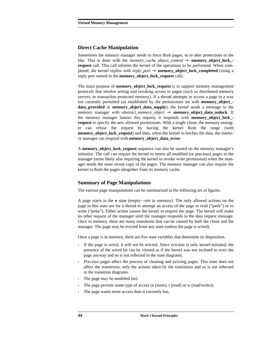#### **Direct Cache Manipulation**

Sometimes the memory manager needs to force flush pages, or to alter protections or the like. This is done with the *memory* cache object control  $\rightarrow$  **memory** object lock **request** call. This call informs the kernel of the operations to be performed. When completed, the kernel replies with *reply port*  $\rightarrow$  **memory** object lock completed (using a reply port named in the **memory\_object\_lock\_request** call).

The main purpose of **memory** object lock request is to support memory management protocols that involve setting and revoking access to pages (such as distributed memory servers, or transaction protected memory). If a thread attempts to access a page in a way not currently permitted (as established by the permissions set with **memory\_object\_ data\_provided** or **memory\_object\_data\_supply**), the kernel sends a message to the memory manager with *abstract\_memory\_object* → **memory\_object\_data\_unlock**. If the memory manager honors this request, it responds with **memory object lock request** to specify the new allowed permissions. With a single client, the memory manager can refuse the request by having the kernel flush the range (with **memory\_object\_lock\_request**) and then, when the kernel re-fetches the data, the memory manager can respond with **memory\_object\_data\_error**.

A **memory\_object\_lock\_request** sequence can also be started on the memory manager's initiative. The call can require the kernel to return all modified (or precious) pages to the manager (most likely also requiring the kernel to revoke write permission) when the manager needs the most recent copy of the pages. The memory manager can also require the kernel to flush the pages altogether from its memory cache.

#### **Summary of Page Manipulations**

The various page manipulations can be summarized in the following set of figures.

A page starts in the **e** state (empty—not in memory). The only allowed actions on the page in this state are for a thread to attempt an access of the page to read ("peek") or to write ("poke"). Either action causes the kernel to request the page. The kernel will make no other request of the manager until the manager responds to the data request message. Once in memory, there are many transitions that can be caused by both the client and the manager. The page may be evicted from any state (unless the page is wired).

Once a page is in memory, there are five state variables that determine its disposition.

- If the page is *wired*, it will not be evicted. Since eviction is only kernel-initiated, the presence of the *wired* bit can be viewed as if the kernel was not inclined to evict the page anyway and so is not reflected in the state diagrams.
- *Precious* pages affect the process of cleaning and evicting pages. This state does not affect the transitions, only the actions taken by the transitions and so is not reflected in the transition diagrams.
- The page may be modified (m).
- The page permits some type of access (n (none), r (read) or w (read/write)).
- The page wants more access than it currently has.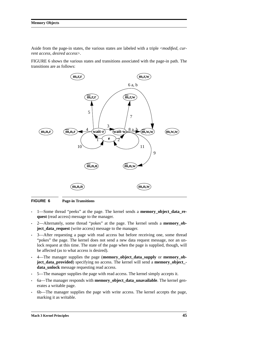Aside from the page-in states, the various states are labeled with a triple <*modified*, *current access*, *desired access*>.

FIGURE 6 shows the various states and transitions associated with the page-in path. The transitions are as follows:



**FIGURE 6 Page-in Transitions**

- 1—Some thread "peeks" at the page. The kernel sends a **memory\_object\_data\_request** (read access) message to the manager.
- 2—Alternately, some thread "pokes" at the page. The kernel sends a **memory\_object\_data\_request** (write access) message to the manager.
- 3—After requesting a page with read access but before receiving one, some thread "pokes" the page. The kernel does not send a new data request message, nor an unlock request at this time. The state of the page when the page is supplied, though, will be affected (as to what access is desired).
- 4—The manager supplies the page (**memory\_object\_data\_supply** or **memory\_object\_data\_provided**) specifying no access. The kernel will send a **memory\_object\_ data\_unlock** message requesting read access.
- 5—The manager supplies the page with read access. The kernel simply accepts it.
- 6a—The manager responds with **memory\_object\_data\_unavailable**. The kernel generates a writable page.
- 6b—The manager supplies the page with write access. The kernel accepts the page, marking it as writable.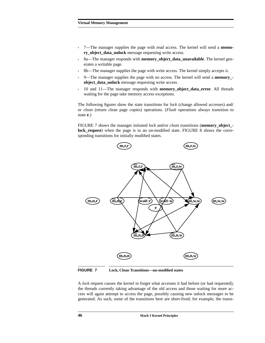- 7—The manager supplies the page with read access. The kernel will send a **memory\_object\_data\_unlock** message requesting write access.
- 8a—The manager responds with **memory\_object\_data\_unavailable**. The kernel generates a writable page.
- 8b—The manager supplies the page with write access. The kernel simply accepts it.
- 9—The manager supplies the page with no access. The kernel will send a **memory\_ object\_data\_unlock** message requesting write access.
- 10 and 11—The manager responds with **memory\_object\_data\_error**. All threads waiting for the page take memory access exceptions.

The following figures show the state transitions for *lock* (change allowed accesses) and/ or *clean* (return clean page copies) operations. (*Flush* operations always transition to state **e**.)

FIGURE 7 shows the manager initiated *lock* and/or *clean* transitions (**memory\_object\_ lock\_request**) when the page is in an un-modified state. FIGURE 8 shows the corresponding transitions for initially modified states.



**FIGURE 7 Lock, Clean Transitions—un-modified states**

A *lock* request causes the kernel to forget what accesses it had before (or had requested); the threads currently taking advantage of the old access and those waiting for more access will again attempt to access the page, possibly causing new unlock messages to be generated. As such, some of the transitions here are short-lived; for example, the transi-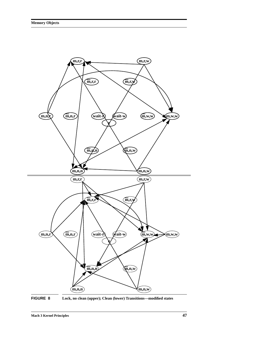



**FIGURE 8 Lock, no clean (upper); Clean (lower) Transitions—modified states**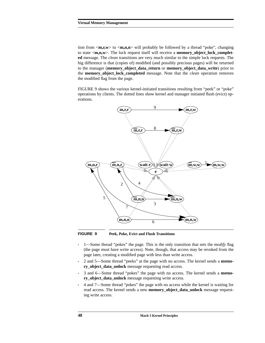tion from <**m,r,w**> to <**m,n,n**> will probably be followed by a thread "poke", changing to state <**m,n,w**>. The lock request itself will receive a **memory\_object\_lock\_completed** message. The *clean* transitions are very much similar to the simple lock requests. The big difference is that (copies of) modified (and possibly precious pages) will be returned to the manager (**memory\_object\_data\_return** or **memory\_object\_data\_write**) prior to the **memory\_object\_lock\_completed** message. Note that the *clean* operation removes the modified flag from the page.

FIGURE 9 shows the various kernel-initiated transitions resulting from "peek" or "poke" operations by clients. The dotted lines show kernel and manager initiated flush (evict) operations.



**FIGURE 9 Peek, Poke, Evict and Flush Transitions**

- 1—Some thread "pokes" the page. This is the only transition that sets the *modify* flag (the page must have write access). Note, though, that access may be revoked from the page later, creating a modified page with less than write access.
- 2 and 5—Some thread "peeks" at the page with no access. The kernel sends a **memory\_object\_data\_unlock** message requesting read access.
- 3 and 6—Some thread "pokes" the page with no access. The kernel sends a **memory\_object\_data\_unlock** message requesting write access.
- 4 and 7—Some thread "pokes" the page with no access while the kernel is waiting for read access. The kernel sends a new **memory\_object\_data\_unlock** message requesting write access.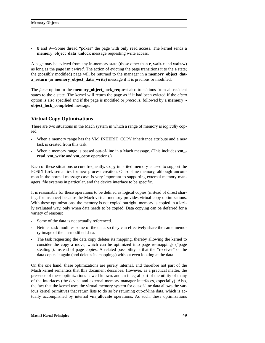• 8 and 9—Some thread "pokes" the page with only read access. The kernel sends a **memory** object data unlock message requesting write access.

A page may be evicted from any in-memory state (those other than **e**, **wait-r** and **wait-w**) as long as the page isn't *wired*. The action of evicting the page transitions it to the **e** state; the (possibly modified) page will be returned to the manager in a **memory\_object\_data\_return** (or **memory\_object\_data\_write**) message if it is precious or modified.

The *flush* option to the **memory\_object\_lock\_request** also transitions from all resident states to the **e** state. The kernel will return the page as if it had been evicted if the *clean* option is also specified and if the page is modified or *precious*, followed by a **memory\_ object\_lock\_completed** message.

## **Virtual Copy Optimizations**

There are two situations in the Mach system in which a range of memory is *logically* copied.

- When a memory range has the VM\_INHERIT\_COPY inheritance attribute and a new task is created from this task.
- When a memory range is passed out-of-line in a Mach message. (This includes **vm\_ read**, **vm\_write** and **vm\_copy** operations.)

Each of these situations occurs frequently. Copy inherited memory is used to support the POSIX **fork** semantics for new process creation. Out-of-line memory, although uncommon in the normal message case, is very important to supporting external memory managers, file systems in particular, and the device interface to be specific.

It is reasonable for these operations to be defined as logical copies (instead of direct sharing, for instance) because the Mach virtual memory provides virtual copy optimizations. With these optimizations, the memory is not copied outright; memory is copied in a lazily evaluated way, only when data needs to be copied. Data copying can be deferred for a variety of reasons:

- Some of the data is not actually referenced.
- Neither task modifies some of the data, so they can effectively share the same memory image of the un-modified data.
- The task requesting the data copy deletes its mapping, thereby allowing the kernel to consider the copy a move, which can be optimized into page re-mappings ("page stealing"), instead of page copies. A related possibility is that the "receiver" of the data copies it again (and deletes its mappings) without even looking at the data.

On the one hand, these optimizations are purely internal, and therefore not part of the Mach kernel semantics that this document describes. However, as a practical matter, the presence of these optimizations is well known, and an integral part of the utility of many of the interfaces (the device and external memory manager interfaces, especially). Also, the fact that the kernel uses the virtual memory system for out-of-line data allows the various kernel primitives that return lists to do so by returning out-of-line data, which is actually accomplished by internal **vm\_allocate** operations. As such, these optimizations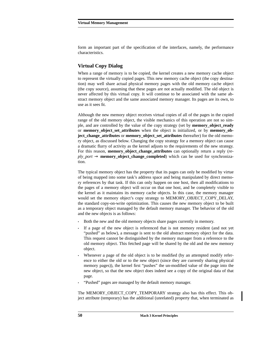form an important part of the specification of the interfaces, namely, the performance characteristics.

#### **Virtual Copy Dialog**

When a range of memory is to be copied, the kernel creates a new memory cache object to represent the virtually copied pages. This new memory cache object (the copy destination) may well share actual physical memory pages with the old memory cache object (the copy source), assuming that these pages are not actually modified. The old object is never affected by this virtual copy. It will continue to be associated with the same abstract memory object and the same associated memory manager. Its pages are its own, to use as it sees fit.

Although the new memory object receives virtual copies of all of the pages in the copied range of the old memory object, the visible mechanics of this operation are not so simple, and are controlled by the value of the copy strategy (set by **memory\_object\_ready** or **memory\_object\_set\_attributes** when the object is initialized, or by **memory\_object\_change\_attributes** or **memory\_object\_set\_attributes** thereafter) for the old memory object, as discussed below. Changing the copy strategy for a memory object can cause a dramatic flurry of activity as the kernel adjusts to the requirements of the new strategy. For this reason, **memory\_object\_change\_attributes** can optionally return a reply (*reply\_port* → **memory\_object\_change\_completed**) which can be used for synchronization.

The typical memory object has the property that its pages can only be modified by virtue of being mapped into some task's address space and being manipulated by direct memory references by that task. If this can only happen on one host, then all modifications to the pages of a memory object will occur on that one host, and be completely visible to the kernel as it maintains its memory cache objects. In this case, the memory manager would set the memory object's copy strategy to MEMORY\_OBJECT\_COPY\_DELAY, the standard copy-on-write optimization. This causes the new memory object to be built as a temporary object managed by the default memory manager. The behavior of the old and the new objects is as follows:

- Both the new and the old memory objects share pages currently in memory.
- If a page of the new object is referenced that is not memory resident (and not yet "pushed" as below), a message is sent to the old abstract memory object for the data. This request cannot be distinguished by the memory manager from a reference to the old memory object. This fetched page will be shared by the old and the new memory object.
- Whenever a page of the old object is to be modified (by an attempted modify reference to either the old or to the new object (since they are currently sharing physical memory pages)), the kernel first "pushes" the un-modified value of the page into the new object, so that the new object does indeed see a copy of the original data of that page.
- "Pushed" pages are managed by the default memory manager.

The MEMORY\_OBJECT\_COPY\_TEMPORARY strategy also has this effect. This object attribute (temporary) has the additional (unrelated) property that, when terminated as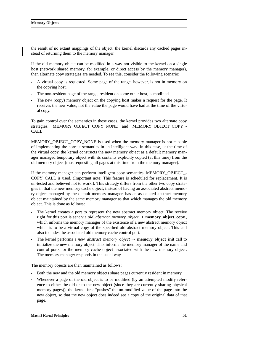the result of no extant mappings of the object, the kernel discards any cached pages instead of returning them to the memory manager.

If the old memory object can be modified in a way not visible to the kernel on a single host (network shared memory, for example, or direct access by the memory manager), then alternate copy strategies are needed. To see this, consider the following scenario:

- A virtual copy is requested. Some page of the range, however, is not in memory on the copying host.
- The non-resident page of the range, resident on some other host, is modified.
- The new (copy) memory object on the copying host makes a request for the page. It receives the new value, not the value the page would have had at the time of the virtual copy.

To gain control over the semantics in these cases, the kernel provides two alternate copy strategies, MEMORY\_OBJECT\_COPY\_NONE and MEMORY\_OBJECT\_COPY\_- CALL.

MEMORY OBJECT COPY NONE is used when the memory manager is not capable of implementing the correct semantics in an intelligent way. In this case, at the time of the virtual copy, the kernel constructs the new memory object as a default memory manager managed temporary object with its contents explicitly copied (at this time) from the old memory object (thus requesting all pages at this time from the memory manager).

If the memory manager can perform intelligent copy semantics, MEMORY\_OBJECT\_- COPY\_CALL is used. (Important note: This feature is scheduled for replacement. It is un-tested and believed not to work.). This strategy differs from the other two copy strategies in that the new memory cache object, instead of having an associated abstract memory object managed by the default memory manager, has an associated abstract memory object maintained by the same memory manager as that which manages the old memory object. This is done as follows:

- The kernel creates a port to represent the new abstract memory object. The receive right for this port is sent via *old\_abstract\_memory\_object*  $\rightarrow$  **memory\_object\_copy**., which informs the memory manager of the existence of a new abstract memory object which is to be a virtual copy of the specified old abstract memory object. This call also includes the associated old memory cache control port.
- The kernel performs a *new\_abstract\_memory\_object* → **memory\_object\_init** call to initialize the new memory object. This informs the memory manager of the name and control ports for the memory cache object associated with the new memory object. The memory manager responds in the usual way.

The memory objects are then maintained as follows:

- Both the new and the old memory objects share pages currently resident in memory.
- Whenever a page of the old object is to be modified (by an attempted modify reference to either the old or to the new object (since they are currently sharing physical memory pages)), the kernel first "pushes" the un-modified value of the page into the new object, so that the new object does indeed see a copy of the original data of that page.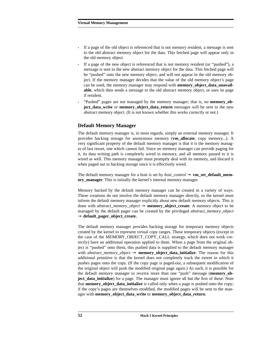- If a page of the old object is referenced that is not memory resident, a message is sent to the old abstract memory object for the data. This fetched page will appear only in the old memory object.
- If a page of the new object is referenced that is not memory resident (or "pushed"), a message is sent to the new abstract memory object for the data. This fetched page will be "pushed" onto the new memory object, and will not appear in the old memory object. If the memory manager decides that the value of the old memory object's page can be used, the memory manager may respond with **memory\_object\_data\_unavailable**, which then sends a message to the old abstract memory object, or uses its page if resident.
- "Pushed" pages are not managed by the memory manager; that is, no **memory\_object\_data\_write** or **memory\_object\_data\_return** messages will be sent to the new abstract memory object. (It is not known whether this works correctly or not.)

#### **Default Memory Manager**

The default memory manager is, in most regards, simply an external memory manager. It provides backing storage for anonymous memory (**vm\_allocate**, copy memory...). A very significant property of the default memory manager is that it is the memory manager of last resort, one which cannot fail. Since no memory manager can provide paging for it, its data writing path is completely wired in memory, and all memory passed to it is wired as well. This memory manager must promptly deal with its memory, and discard it when paged out to backing storage since it is effectively wired.

The default memory manager for a host is set by *host* control  $\rightarrow$ **vm** set default mem**ory\_manager**. This is initially the kernel's internal memory manager.

Memory backed by the default memory manager can be created in a variety of ways. These creations do not involve the default memory manager directly, so the kernel must inform the default memory manager explicitly about new default memory objects. This is done with *abstract\_memory\_object* → **memory\_object\_create**. A memory object to be managed by the default pager can be created by the privileged *abstract\_memory\_object* → **default\_pager\_object\_create.**

The default memory manager provides backing storage for temporary memory objects created by the kernel to represent virtual copy ranges. These temporary objects (except in the case of the MEMORY\_OBJECT\_COPY\_CALL strategy, which does not work correctly) have an additional operation applied to them. When a page from the original object is "pushed" onto them, this pushed data is supplied to the default memory manager with *abstract\_memory\_object*  $\rightarrow$  **memory\_object\_data\_initialize**. The reason for this additional primitive is that the kernel does not completely track the extent to which it pushes pages onto the copy. (If the copy page is paged-out, a subsequent modification of the original object will push the modified original page again.) As such, it is possible for the default memory manager to receive more than one "push" message (**memory\_object\_data\_initialize**) for a page. The manager must ignore all but the first of these. Note that **memory\_object\_data\_initialize** is called only when a page is pushed onto the copy; if the copy's pages are themselves modified, the modified pages will be sent to the manager with **memory\_object\_data\_write** or **memory\_object\_data\_return**.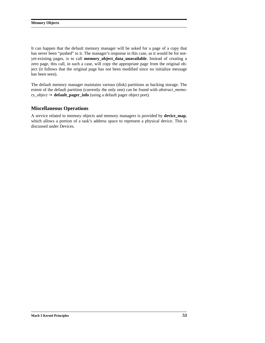It can happen that the default memory manager will be asked for a page of a copy that has never been "pushed" to it. The manager's response in this case, as it would be for notyet-existing pages, is to call **memory\_object\_data\_unavailable**. Instead of creating a zero page, this call, in such a case, will copy the appropriate page from the original object (it follows that the original page has not been modified since no initialize message has been seen).

The default memory manager maintains various (disk) partitions as backing storage. The extent of the default partition (currently the only one) can be found with *abstract\_memory\_object* → **default\_pager\_info** (using a default pager object port).

#### **Miscellaneous Operations**

A service related to memory objects and memory managers is provided by **device\_map**, which allows a portion of a task's address space to represent a physical device. This is discussed under Devices.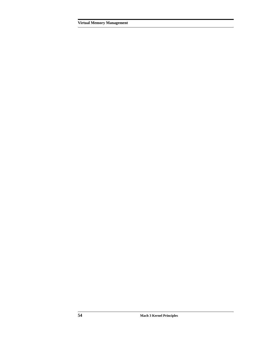**Virtual Memory Management**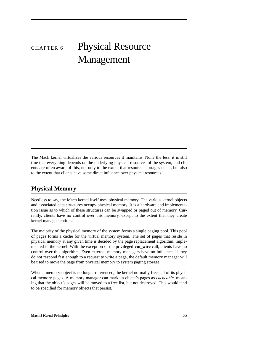# CHAPTER 6 Physical Resource Management

The Mach kernel virtualizes the various resources it maintains. None the less, it is still true that everything depends on the underlying physical resources of the system, and clients are often aware of this, not only to the extent that resource shortages occur, but also to the extent that clients have some direct influence over physical resources.

## **Physical Memory**

Needless to say, the Mach kernel itself uses physical memory. The various kernel objects and associated data structures occupy physical memory. It is a hardware and implementation issue as to which of these structures can be swapped or paged out of memory. Currently, clients have no control over this memory, except to the extent that they create kernel managed entities.

The majority of the physical memory of the system forms a single paging pool. This pool of pages forms a cache for the virtual memory system. The set of pages that reside in physical memory at any given time is decided by the page replacement algorithm, implemented in the kernel. With the exception of the privileged **vm\_wire** call, clients have no control over this algorithm. Even external memory managers have no influence; if they do not respond fast enough to a request to write a page, the default memory manager will be used to move the page from physical memory to system paging storage.

When a memory object is no longer referenced, the kernel normally frees all of its physical memory pages. A memory manager can mark an object's pages as *cacheable*, meaning that the object's pages will be moved to a free list, but not destroyed. This would tend to be specified for memory objects that persist.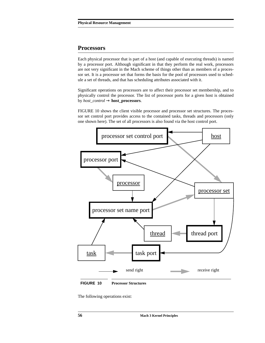### **Processors**

Each physical processor that is part of a host (and capable of executing threads) is named by a processor port. Although significant in that they perform the real work, processors are not very significant in the Mach scheme of things other than as members of a processor set. It is a processor set that forms the basis for the pool of processors used to schedule a set of threads, and that has scheduling attributes associated with it.

Significant operations on processors are to affect their processor set membership, and to physically control the processor. The list of processor ports for a given host is obtained by *host\_control* → **host\_processors**.

FIGURE 10 shows the client visible processor and processor set structures. The processor set control port provides access to the contained tasks, threads and processors (only one shown here). The set of all processors is also found via the host control port.



The following operations exist: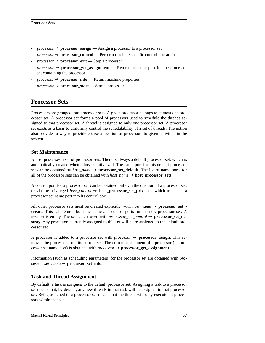- $\frac{p}{\text{processor}} \rightarrow \frac{\text{processor}}{\text{assign}}$  Assign a processor to a processor set
- *processor* → **processor\_control** Perform machine specific control operations
- *processor* → **processor\_exit** Stop a processor
- $\text{processor} \rightarrow \text{processor\_get\_assignment}$  Return the name port for the processor set containing the processor
- $\frac{p}{\text{processor}} \rightarrow \text{processor}\_ \text{info} \longrightarrow \text{Return machine properties}$
- *processor* → **processor\_start** Start a processor

## **Processor Sets**

Processors are grouped into processor sets. A given processor belongs to at most one processor set. A processor set forms a pool of processors used to schedule the threads assigned to that processor set. A thread is assigned to only one processor set. A processor set exists as a basis to uniformly control the schedulability of a set of threads. The notion also provides a way to provide coarse allocation of processors to given activities in the system.

#### **Set Maintenance**

A host possesses a set of processor sets. There is always a default processor set, which is automatically created when a host is initialized. The name port for this default processor set can be obtained by *host\_name*  $\rightarrow$  **processor\_set\_default**. The list of name ports for all of the processor sets can be obtained with  $host\_name \rightarrow host\_processor\_sets$ .

A control port for a processor set can be obtained only via the creation of a processor set, or via the privileged *host\_control* → **host\_processor\_set\_priv** call, which translates a processor set name port into its control port.

All other processor sets must be created explicitly, with *host\_name* → **processor\_set\_ create**. This call returns both the name and control ports for the new processor set. A new set is empty. The set is destroyed with *processor\_set\_control* → **processor\_set\_destroy**. Any processors currently assigned to this set will be re-assigned to the default processor set.

A processor is added to a processor set with *processor*  $\rightarrow$  **processor\_assign**. This removes the processor from its current set. The current assignment of a processor (its processor set name port) is obtained with  $\text{processor} \rightarrow \text{processor\_get\_assignment}$ .

Information (such as scheduling parameters) for the processor set are obtained with *processor\_set\_name* → **processor\_set\_info**.

#### **Task and Thread Assignment**

By default, a task is *assigned* to the default processor set. Assigning a task to a processor set means that, by default, any new threads in that task will be assigned to that processor set. Being assigned to a processor set means that the thread will only execute on processors within that set.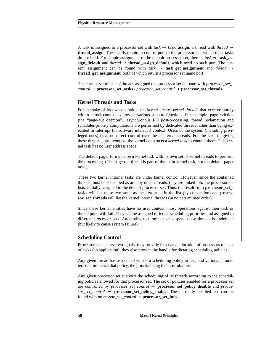A task is assigned to a processor set with  $task \rightarrow$  task\_assign, a thread with *thread*  $\rightarrow$ **thread\_assign**. These calls require a control port to the processor set, which most tasks do not hold. For simple assignment to the default processor set, there is  $task \rightarrow$  task as**sign default** and *thread*  $\rightarrow$  **thread** assign default, which need no such port. The current assignment can be found with  $task \rightarrow$  task get assignment and *thread*  $\rightarrow$ **thread\_get\_assignment**, both of which return a processor set name port.

The current set of tasks / threads assigned to a processor set is found with *processor\_set\_*  $control \rightarrow$ **processor\_set\_tasks** / *processor\_set\_control*  $\rightarrow$  **processor\_set\_threads.** 

#### **Kernel Threads and Tasks**

For the sake of its own operation, the kernel creates *kernel threads* that execute purely within kernel context to provide various support functions. For example, page eviction (the "page-out daemon"), asynchronous I/O post-processing, thread reclamation and scheduler priority computations are performed by dedicated threads rather than being executed in interrupt (or software interrupt) context. Users of the system (including privileged ones) have no direct control over these internal threads. For the sake of giving these threads a task context, the kernel constructs a *kernel task* to contain them. This kernel task has no user address space.

The default pager forms its own kernel task with its own set of kernel threads to perform the processing. (The page-out thread is part of the main kernel task, not the default pager task.)

These two kernel internal tasks are under kernel control. However, since the contained threads must be scheduled as are any other threads, they are linked into the processor set lists, initially assigned to the default processor set. Thus, the result from **processor\_set\_ tasks** will list these two tasks as the first tasks in the list (by convention) and **processor\_set\_threads** will list the kernel internal threads (in no determinate order).

Since these kernel entities have no user context, most operations against their task or thread ports will fail. They can be assigned different scheduling priorities and assigned to different processor sets. Attempting to terminate or suspend these threads is undefined (but likely to cause system failure).

#### **Scheduling Control**

Processor sets achieve two goals: they provide for coarse allocation of processors to a set of tasks (an application); they also provide the handle for dictating scheduling policies.

Any given thread has associated with it a scheduling policy to use, and various parameters that influence that policy, the priority being the most obvious.

Any given processor set supports the scheduling of its threads according to the scheduling policies allowed for that processor set. The set of policies enabled for a processor set are controlled by *processor set control*  $\rightarrow$  **processor set policy disable** and *processor set control*  $\rightarrow$  **processor set policy enable**. The currently enabled set can be found with *processor\_set\_control*  $\rightarrow$  **processor\_set\_info**.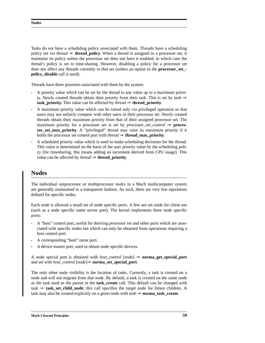#### **Nodes**

Tasks do not have a scheduling policy associated with them. Threads have a scheduling policy set via *thread*  $\rightarrow$  **thread policy**. When a thread is assigned to a processor set, it maintains its policy unless the processor set does not have it enabled, in which case the thread's policy is set to time-sharing. However, disabling a policy for a processor set does not affect any threads currently in that set (unless an option to the **processor\_set\_ policy** disable call is used).

Threads have three priorities associated with them by the system:

- A priority value which can be set by the thread to any value up to a maximum priority. Newly created threads obtain their priority from their task. This is set by  $task \rightarrow$ **task** priority. This value can be affected by *thread*  $\rightarrow$  **thread** priority.
- A maximum priority value which can be raised only via privileged operation so that users may not unfairly compete with other users in their processor set. Newly created threads obtain their maximum priority from that of their assigned processor set. The maximum priority for a processor set is set by *processor\_set\_control* → **processor\_set\_max\_priority**. A "privileged" thread may raise its maximum priority if it holds the processor set control port with  $thread \rightarrow$  **thread\_max\_priority**.
- A scheduled priority value which is used to make scheduling decisions for the thread. This value is determined on the basis of the user priority value by the scheduling policy (for timesharing, this means adding an increment derived from CPU usage). This value can be affected by  $thread \rightarrow$  **thread\_priority**.

#### **Nodes**

The individual uniprocessor or multiprocessor *nodes* in a Mach multicomputer system are generally maintained in a transparent fashion. As such, there are very few operations defined for specific nodes.

Each node is allowed a small set of node specific ports. A few are set aside for client use (such as a node specific name server port). The kernel implements three node specific ports:

- A "host" control port, useful for deriving processor set and other ports which are associated with specific nodes but which can only be obtained from operations requiring a host control port.
- A corresponding "host" name port.
- A device master port, used to obtain node specific devices.

A node special port is obtained with *host\_control* [*node*] → **norma\_get\_special\_port** and set with *host\_control* [*node*]→ **norma\_set\_special\_port**.

The only other node visibility is the location of tasks. Currently, a task is created on a node and will not migrate from that node. By default, a task is created on the same node as the task used as the parent in the **task\_create** call. This default can be changed with  $task \rightarrow$  **task\_set\_child\_node**; this call specifies the target node for future children. A task may also be created explicitly on a given node with  $task \rightarrow$ **norma\_task\_create.**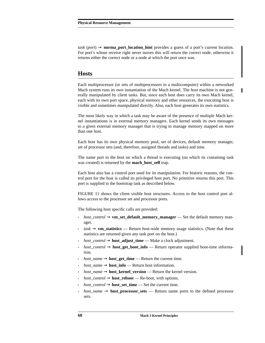$task (port) \rightarrow norma\_port\_location\_hint$  provides a guess of a port's current location. For port's whose receive right never moves this will return the correct node, otherwise it returns either the correct node or a node at which the port once was.

### **Hosts**

Each multiprocessor (or sets of multiprocessors in a multicomputer) within a networked Mach system runs its own instantiation of the Mach kernel. The *host* machine is not generally manipulated by client tasks. But, since each host does carry its own Mach kernel, each with its own port space, physical memory and other resources, the executing host is visible and sometimes manipulated directly. Also, each host generates its own statistics.

The most likely way in which a task may be aware of the presence of multiple Mach kernel instantiations is in external memory managers. Each kernel sends its own messages to a given external memory manager that is trying to manage memory mapped on more than one host.

Each host has its own physical memory pool, set of devices, default memory manager, set of processor sets (and, therefore, assigned threads and tasks) and time.

The name port to the host on which a thread is executing (on which its containing task was created) is returned by the **mach\_host\_self** trap.

Each host also has a control port used for its manipulation. For historic reasons, the control port for the host is called its privileged host port. No primitive returns this port. This port is supplied to the bootstrap task as described below.

FIGURE 11 shows the client visible host structures. Access to the host control port allows access to the processor set and processor ports.

The following host specific calls are provided:

- *host control*  $\rightarrow$  vm set default memory manager Set the default memory manager.
- $task \rightarrow \text{vm\_statistics}$  Return host-wide memory usage statistics. (Note that these statistics are returned given any task port on the host.)
- *host\_control* → **host\_adjust\_time** Make a clock adjustment.
- *host\_control* → **host\_get\_boot\_info** Return operator supplied boot-time information.
- *host\_name*  $\rightarrow$  **host\_get\_time** Return the current time.
- *host name*  $\rightarrow$  **host info** Return host information.
- $host\_name \rightarrow host\_kernel\_version Return$  the kernel version.
- $host\_control \rightarrow host\_reboot Re-book$ , with options.
- $host\_control \rightarrow host\_set\_time$  Set the current time.
- *host name*  $\rightarrow$  **host processor sets** Return name ports to the defined processor sets.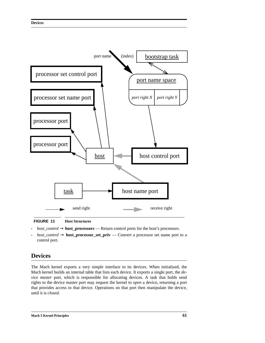

**FIGURE 11 Host Structures**

- *host\_control* → **host\_processors** Return control ports for the host's processors.
- *host\_control* → **host\_processor\_set\_priv** Convert a processor set name port to a control port.

## **Devices**

The Mach kernel exports a very simple interface to its devices. When initialized, the Mach kernel builds an internal table that lists each device. It exports a single port, the *device master* port, which is responsible for allocating devices. A task that holds send rights to the device master port may request the kernel to *open* a device, returning a port that provides access to that device. Operations on that port then manipulate the device, until it is *closed*.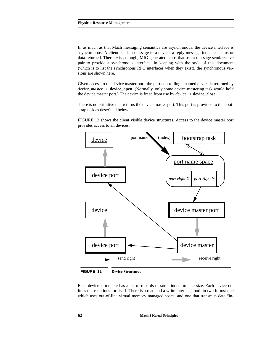In as much as that Mach messaging semantics are asynchronous, the device interface is asynchronous. A client sends a message to a device; a reply message indicates status or data returned. There exist, though, MIG generated stubs that use a message send/receive pair to provide a synchronous interface. In keeping with the style of this document (which is to list the synchronous RPC interfaces when they exist), the synchronous versions are shown here.

Given access to the device master port, the port controlling a named device is returned by *device master*  $\rightarrow$  *device open.* (Normally, only some device mastering task would hold the device master port.) The device is freed from use by  $\text{device} \rightarrow \text{device\_close}$ .

There is no primitive that returns the device master port. This port is provided to the bootstrap task as described below.

FIGURE 12 shows the client visible device structures. Access to the device master port provides access to all devices.



Each device is modeled as a set of records of some indeterminate size. Each device defines these notions for itself. There is a read and a write interface, both in two forms: one which uses out-of-line virtual memory managed space, and one that transmits data "in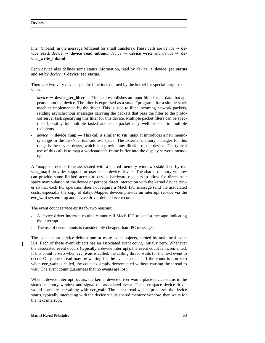**Devices**

line" (inband) in the message (efficient for small transfers). These calls are  $device \rightarrow$ **device read**, *device*  $\rightarrow$  **device read inband**, *device*  $\rightarrow$  **device** write and *device*  $\rightarrow$  **device\_write\_inband**.

Each device also defines some status information, read by  $\text{device} \rightarrow \text{device\_get\_status}$ and set by  $\text{device} \rightarrow$  **device** set status.

There are two very device specific functions defined by the kernel for special purpose devices.

- *device*  $\rightarrow$  **device\_set\_filter** This call establishes an input filter for all data that appears upon the device. The filter is expressed as a small "program" for a simple stack machine implemented by the driver. This is used to filter incoming network packets, sending asynchronous messages carrying the packets that pass the filter to the protocol server task specifying this filter for this device. Multiple packet filters can be specified (possibly by multiple tasks) and each packet may well be sent to multiple recipients.
- $device \rightarrow device\_map$  This call is similar to **vm\_map**. It introduces a new memory range in the task's virtual address space. The external memory manager for this range is the device driver, which can provide any illusion of the device. The typical use of this call is to map a workstation's frame buffer into the display server's memory.

A "mapped" device (one associated with a shared memory window established by **device\_map**) provides support for user space device drivers. The shared memory window can provide some limited access to device hardware registers to allow for direct user space manipulation of the device or perhaps direct interaction with the kernel device driver so that each I/O operation does not require a Mach IPC message (and the associated costs, especially the copy of data). Mapped devices provide an interrupt service via the **evc\_wait** system trap and device driver defined event counts.

The event count service exists for two reasons:

- A device driver interrupt routine cannot call Mach IPC to send a message indicating the interrupt.
- The use of event counts is considerably cheaper than IPC messages.

The event count service defines one or more event objects, named by task local event IDs. Each of these event objects has an associated event count, initially zero. Whenever the associated event occurs (typically a device interrupt), the event count is incremented. If this count is zero when **evc\_wait** is called, the calling thread waits for the next event to occur. Only one thread may be waiting for the event to occur. If the count is non-zero when **evc\_wait** is called, the count is simply decremented without causing the thread to wait. The event count guarantees that no events are lost.

When a device interrupt occurs, the kernel device driver would place device status in the shared memory window and signal the associated event. The user space device driver would normally be waiting with **evc\_wait**. The user thread wakes, processes the device status, typically interacting with the device via its shared memory window, then waits for the next interrupt.